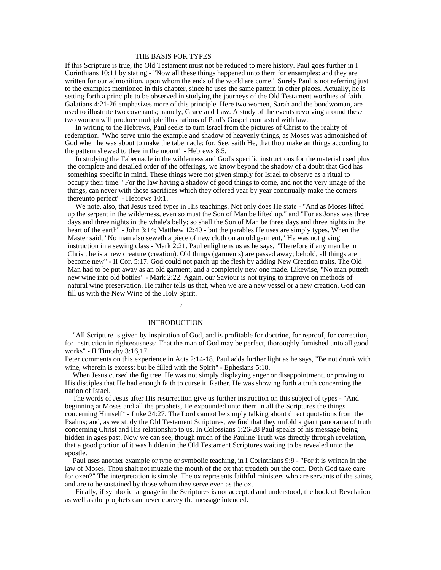## THE BASIS FOR TYPES

If this Scripture is true, the Old Testament must not be reduced to mere history. Paul goes further in I Corinthians 10:11 by stating - "Now all these things happened unto them for ensamples: and they are written for our admonition, upon whom the ends of the world are come." Surely Paul is not referring just to the examples mentioned in this chapter, since he uses the same pattern in other places. Actually, he is setting forth a principle to be observed in studying the journeys of the Old Testament worthies of faith. Galatians 4:21-26 emphasizes more of this principle. Here two women, Sarah and the bondwoman, are used to illustrate two covenants; namely, Grace and Law. A study of the events revolving around these two women will produce multiple illustrations of Paul's Gospel contrasted with law.

In writing to the Hebrews, Paul seeks to turn Israel from the pictures of Christ to the reality of redemption. "Who serve unto the example and shadow of heavenly things, as Moses was admonished of God when he was about to make the tabernacle: for, See, saith He, that thou make an things according to the pattern shewed to thee in the mount" - Hebrews 8:5.

In studying the Tabernacle in the wilderness and God's specific instructions for the material used plus the complete and detailed order of the offerings, we know beyond the shadow of a doubt that God has something specific in mind. These things were not given simply for Israel to observe as a ritual to occupy their time. "For the law having a shadow of good things to come, and not the very image of the things, can never with those sacrifices which they offered year by year continually make the comers thereunto perfect" - Hebrews 10:1.

We note, also, that Jesus used types in His teachings. Not only does He state - "And as Moses lifted up the serpent in the wilderness, even so must the Son of Man be lifted up," and "For as Jonas was three days and three nights in the whale's belly; so shall the Son of Man be three days and three nights in the heart of the earth" - John 3:14; Matthew 12:40 - but the parables He uses are simply types. When the Master said, "No man also seweth a piece of new cloth on an old garment," He was not giving instruction in a sewing class - Mark 2:21. Paul enlightens us as he says, "Therefore if any man be in Christ, he is a new creature (creation). Old things (garments) are passed away; behold, all things are become new" - II Cor. 5:17. God could not patch up the flesh by adding New Creation traits. The Old Man had to be put away as an old garment, and a completely new one made. Likewise, "No man putteth new wine into old bottles" - Mark 2:22. Again, our Saviour is not trying to improve on methods of natural wine preservation. He rather tells us that, when we are a new vessel or a new creation, God can fill us with the New Wine of the Holy Spirit.

 $2\overline{ }$ 

### INTRODUCTION

"All Scripture is given by inspiration of God, and is profitable for doctrine, for reproof, for correction, for instruction in righteousness: That the man of God may be perfect, thoroughly furnished unto all good works" - II Timothy 3:16,17.

Peter comments on this experience in Acts 2:14-18. Paul adds further light as he says, "Be not drunk with wine, wherein is excess; but be filled with the Spirit" - Ephesians 5:18.

When Jesus cursed the fig tree, He was not simply displaying anger or disappointment, or proving to His disciples that He had enough faith to curse it. Rather, He was showing forth a truth concerning the nation of Israel.

The words of Jesus after His resurrection give us further instruction on this subject of types - "And beginning at Moses and all the prophets, He expounded unto them in all the Scriptures the things concerning Himself" - Luke 24:27. The Lord cannot be simply talking about direct quotations from the Psalms; and, as we study the Old Testament Scriptures, we find that they unfold a giant panorama of truth concerning Christ and His relationship to us. In Colossians 1:26-28 Paul speaks of his message being hidden in ages past. Now we can see, though much of the Pauline Truth was directly through revelation, that a good portion of it was hidden in the Old Testament Scriptures waiting to be revealed unto the apostle.

Paul uses another example or type or symbolic teaching, in I Corinthians 9:9 - "For it is written in the law of Moses, Thou shalt not muzzle the mouth of the ox that treadeth out the corn. Doth God take care for oxen?" The interpretation is simple. The ox represents faithful ministers who are servants of the saints, and are to be sustained by those whom they serve even as the ox.

Finally, if symbolic language in the Scriptures is not accepted and understood, the book of Revelation as well as the prophets can never convey the message intended.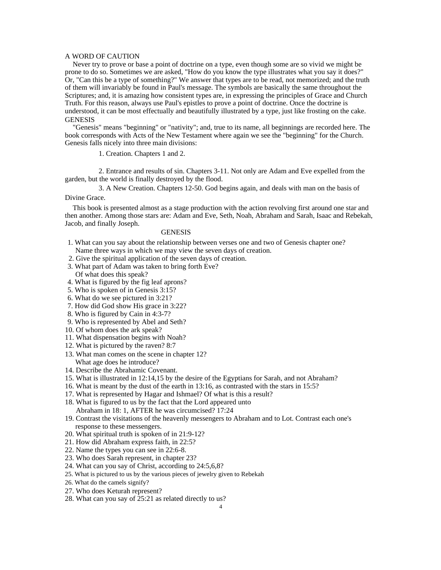### A WORD OF CAUTION

Never try to prove or base a point of doctrine on a type, even though some are so vivid we might be prone to do so. Sometimes we are asked, "How do you know the type illustrates what you say it does?" Or, "Can this be a type of something?" We answer that types are to be read, not memorized; and the truth of them will invariably be found in Paul's message. The symbols are basically the same throughout the Scriptures; and, it is amazing how consistent types are, in expressing the principles of Grace and Church Truth. For this reason, always use Paul's epistles to prove a point of doctrine. Once the doctrine is understood, it can be most effectually and beautifully illustrated by a type, just like frosting on the cake. GENESIS

"Genesis" means "beginning" or "nativity"; and, true to its name, all beginnings are recorded here. The book corresponds with Acts of the New Testament where again we see the "beginning" for the Church. Genesis falls nicely into three main divisions:

1. Creation. Chapters 1 and 2.

2. Entrance and results of sin. Chapters 3-11. Not only are Adam and Eve expelled from the garden, but the world is finally destroyed by the flood.

3. A New Creation. Chapters 12-50. God begins again, and deals with man on the basis of Divine Grace.

This book is presented almost as a stage production with the action revolving first around one star and then another. Among those stars are: Adam and Eve, Seth, Noah, Abraham and Sarah, Isaac and Rebekah, Jacob, and finally Joseph.

### GENESIS **GENESIS**

- 1. What can you say about the relationship between verses one and two of Genesis chapter one? Name three ways in which we may view the seven days of creation.
- 2. Give the spiritual application of the seven days of creation.
- 3. What part of Adam was taken to bring forth Eve?
- Of what does this speak?
- 4. What is figured by the fig leaf aprons?
- 5. Who is spoken of in Genesis 3:15?
- 6. What do we see pictured in 3:21?
- 7. How did God show His grace in 3:22?
- 8. Who is figured by Cain in 4:3-7?
- 9. Who is represented by Abel and Seth?
- 10. Of whom does the ark speak?
- 11. What dispensation begins with Noah?
- 12. What is pictured by the raven? 8:7
- 13. What man comes on the scene in chapter 12? What age does he introduce?
- 14. Describe the Abrahamic Covenant.
- 15. What is illustrated in 12:14,15 by the desire of the Egyptians for Sarah, and not Abraham?
- 16. What is meant by the dust of the earth in 13:16, as contrasted with the stars in 15:5?
- 17. What is represented by Hagar and Ishmael? Of what is this a result?
- 18. What is figured to us by the fact that the Lord appeared unto Abraham in 18: 1, AFTER he was circumcised? 17:24
- 19. Contrast the visitations of the heavenly messengers to Abraham and to Lot. Contrast each one's response to these messengers.
- 20. What spiritual truth is spoken of in 21:9-12?
- 21. How did Abraham express faith, in 22:5?
- 22. Name the types you can see in 22:6-8.
- 23. Who does Sarah represent, in chapter 23?
- 24. What can you say of Christ, according to 24:5,6,8?
- 25. What is pictured to us by the various pieces of jewelry given to Rebekah
- 26. What do the camels signify?
- 27. Who does Keturah represent?
- 28. What can you say of 25:21 as related directly to us?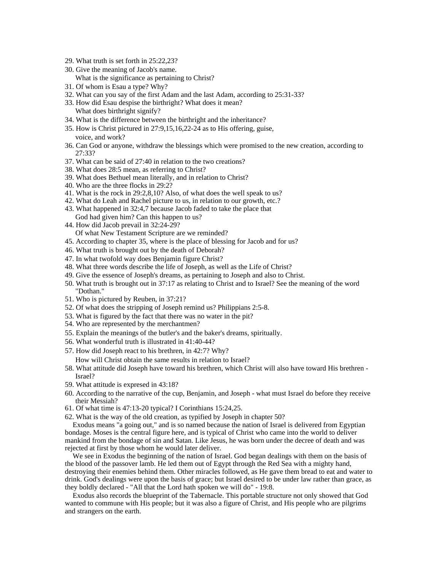- 29. What truth is set forth in 25:22,23?
- 30. Give the meaning of Jacob's name.
	- What is the significance as pertaining to Christ?
- 31. Of whom is Esau a type? Why?
- 32. What can you say of the first Adam and the last Adam, according to 25:31-33?
- 33. How did Esau despise the birthright? What does it mean? What does birthright signify?
- 34. What is the difference between the birthright and the inheritance?
- 35. How is Christ pictured in 27:9,15,16,22-24 as to His offering, guise, voice, and work?
- 36. Can God or anyone, withdraw the blessings which were promised to the new creation, according to 27:33?
- 37. What can be said of 27:40 in relation to the two creations?
- 38. What does 28:5 mean, as referring to Christ?
- 39. What does Bethuel mean literally, and in relation to Christ?
- 40. Who are the three flocks in 29:2?
- 41. What is the rock in 29:2,8,10? Also, of what does the well speak to us?
- 42. What do Leah and Rachel picture to us, in relation to our growth, etc.?
- 43. What happened in 32:4,7 because Jacob faded to take the place that God had given him? Can this happen to us?
- 44. How did Jacob prevail in 32:24-29? Of what New Testament Scripture are we reminded?
- 45. According to chapter 35, where is the place of blessing for Jacob and for us?
- 46. What truth is brought out by the death of Deborah?
- 47. In what twofold way does Benjamin figure Christ?
- 48. What three words describe the life of Joseph, as well as the Life of Christ?
- 49. Give the essence of Joseph's dreams, as pertaining to Joseph and also to Christ.
- 50. What truth is brought out in 37:17 as relating to Christ and to Israel? See the meaning of the word "Dothan."
- 51. Who is pictured by Reuben, in 37:21?
- 52. Of what does the stripping of Joseph remind us? Philippians 2:5-8.
- 53. What is figured by the fact that there was no water in the pit?
- 54. Who are represented by the merchantmen?
- 55. Explain the meanings of the butler's and the baker's dreams, spiritually.
- 56. What wonderful truth is illustrated in 41:40-44?
- 57. How did Joseph react to his brethren, in 42:7? Why?
	- How will Christ obtain the same results in relation to Israel?
- 58. What attitude did Joseph have toward his brethren, which Christ will also have toward His brethren Israel?
- 59. What attitude is expresed in 43:18?
- 60. According to the narrative of the cup, Benjamin, and Joseph what must Israel do before they receive their Messiah?
- 61. Of what time is 47:13-20 typical? I Corinthians 15:24,25.
- 62. What is the way of the old creation, as typified by Joseph in chapter 50?

Exodus means "a going out," and is so named because the nation of Israel is delivered from Egyptian bondage. Moses is the central figure here, and is typical of Christ who came into the world to deliver mankind from the bondage of sin and Satan. Like Jesus, he was born under the decree of death and was rejected at first by those whom he would later deliver.

We see in Exodus the beginning of the nation of Israel. God began dealings with them on the basis of the blood of the passover lamb. He led them out of Egypt through the Red Sea with a mighty hand, destroying their enemies behind them. Other miracles followed, as He gave them bread to eat and water to drink. God's dealings were upon the basis of grace; but Israel desired to be under law rather than grace, as they boldly declared - "All that the Lord hath spoken we will do" - 19:8.

Exodus also records the blueprint of the Tabernacle. This portable structure not only showed that God wanted to commune with His people; but it was also a figure of Christ, and His people who are pilgrims and strangers on the earth.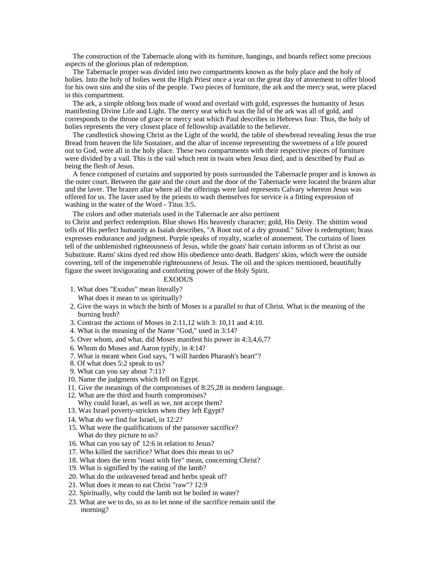The construction of the Tabernacle along with its furniture, hangings, and boards reflect some precious aspects of the glorious plan of redemption.

The Tabernacle proper was divided into two compartments known as the holy place and the holy of holies. Into the holy of holies went the High Priest once a year on the great day of atonement to offer blood for his own sins and the sins of the people. Two pieces of furniture, the ark and the mercy seat, were placed in this compartment.

The ark, a simple oblong box made of wood and overlaid with gold, expresses the humanity of Jesus manifesting Divine Life and Light. The mercy seat which was the lid of the ark was all of gold, and corresponds to the throne of grace or mercy seat which Paul describes in Hebrews four. Thus, the holy of holies represents the very closest place of fellowship available to the believer.

The candlestick showing Christ as the Light of the world, the table of shewbread revealing Jesus the true Bread from heaven the life Sustainer, and the altar of incense representing the sweetness of a life poured out to God, were all in the holy place. These two compartments with their respective pieces of furniture were divided by a vail. This is the vail which rent in twain when Jesus died, and is described by Paul as being the flesh of Jesus.

A fence composed of curtains and supported by posts surrounded the Tabernacle proper and is known as the outer court. Between the gate and the court and the door of the Tabernacle were located the brazen altar and the laver. The brazen altar where all the offerings were laid represents Calvary whereon Jesus was offered for us. The laver used by the priests to wash themselves for service is a fitting expression of washing in the water of the Word - Titus 3:5.

The colors and other materials used in the Tabernacle are also pertinent

to Christ and perfect redemption. Blue shows His heavenly character; gold, His Deity. The shittim wood tells of His perfect humanity as Isaiah describes, "A Root out of a dry ground." Silver is redemption; brass expresses endurance and judgment. Purple speaks of royalty, scarlet of atonement. The curtains of linen tell of the unblemished righteousness of Jesus, while the goats' hair curtain informs us of Christ as our Substitute. Rams' skins dyed red show His obedience unto death. Badgers' skins, which were the outside covering, tell of the impenetrable righteousness of Jesus. The oil and the spices mentioned, beautifully figure the sweet invigorating and comforting power of the Holy Spirit.

## EXODUS

- 1. What does "Exodus" mean literally? What does it mean to us spiritually?
- 2. Give the ways in which the birth of Moses is a parallel to that of Christ. What is the meaning of the burning bush? The contract of the contract of the contract of the contract of the contract of the contract of the contract of the contract of the contract of the contract of the contract of the contract of the contract of
- 3. Contrast the actions of Moses in 2:11,12 with 3: 10,11 and 4:10.
- 4. What is the meaning of the Name "God," used in 3:14?
- 5. Over whom, and what, did Moses manifest his power in 4:3,4,6,7?
- 6. Whom do Moses and Aaron typify, in 4:14?
- 7. What is meant when God says, "I will harden Pharaoh's heart"?
- 8. Of what does 5:2 speak to us?
- 9. What can you say about 7:11?
- 10. Name the judgments which fell on Egypt.
- 11. Give the meanings of the compromises of 8:25,28 in modern language.
- 12. What are the third and fourth compromises? Why could Israel, as well as we, not accept them?
- 13. Was Israel poverty-stricken when they left Egypt?
- 14. What do we find for Israel, in 12:2?
- 15. What were the qualifications of the passover sacrifice? What do they picture to us?
- 16. What can you say of' 12:6 in relation to Jesus?
- 17. Who killed the sacrifice? What does this mean to us?
- 18. What does the term "roast with fire" mean, concerning Christ?
- 19. What is signified by the eating of the lamb?
- 20. What do the unleavened bread and herbs speak of?
- 21. What does it mean to eat Christ "raw"? 12:9
- 22. Spiritually, why could the lamb not be boiled in water?
- 23. What are we to do, so as to let none of the sacrifice remain until the morning?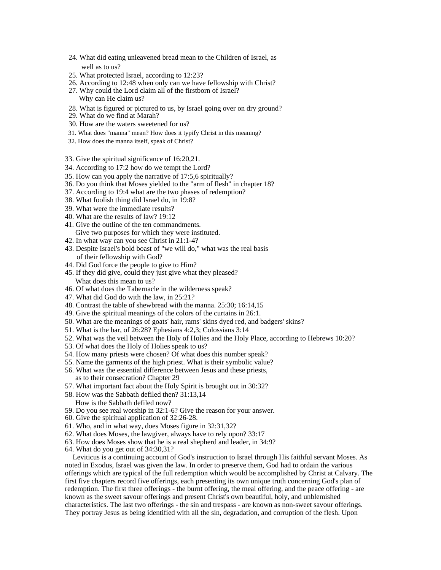- 24. What did eating unleavened bread mean to the Children of Israel, as well as to us?
- 25. What protected Israel, according to 12:23?
- 26. According to 12:48 when only can we have fellowship with Christ?
- 27. Why could the Lord claim all of the firstborn of Israel? Why can He claim us?
- 28. What is figured or pictured to us, by Israel going over on dry ground?
- 29. What do we find at Marah?
- 30. How are the waters sweetened for us?
- 31. What does "manna" mean? How does it typify Christ in this meaning?
- 32. How does the manna itself, speak of Christ?
- 33. Give the spiritual significance of 16:20,21.
- 34. According to 17:2 how do we tempt the Lord?
- 35. How can you apply the narrative of 17:5,6 spiritually?
- 36. Do you think that Moses yielded to the "arm of flesh" in chapter 18?
- 37. According to 19:4 what are the two phases of redemption?
- 38. What foolish thing did Israel do, in 19:8?
- 39. What were the immediate results?
- 40. What are the results of law? 19:12
- 41. Give the outline of the ten commandments. Give two purposes for which they were instituted.
- 42. In what way can you see Christ in 21:1-4?
- 43. Despite Israel's bold boast of "we will do," what was the real basis of their fellowship with God?
- 44. Did God force the people to give to Him?
- 45. If they did give, could they just give what they pleased? What does this mean to us?
- 46. Of what does the Tabernacle in the wilderness speak?
- 47. What did God do with the law, in 25:21?
- 48. Contrast the table of shewbread with the manna. 25:30; 16:14,15
- 49. Give the spiritual meanings of the colors of the curtains in 26:1.
- 50. What are the meanings of goats' hair, rams' skins dyed red, and badgers' skins?
- 51. What is the bar, of 26:28? Ephesians 4:2,3; Colossians 3:14
- 52. What was the veil between the Holy of Holies and the Holy Place, according to Hebrews 10:20?
- 53. Of what does the Holy of Holies speak to us?
- 54. How many priests were chosen? Of what does this number speak?
- 55. Name the garments of the high priest. What is their symbolic value?
- 56. What was the essential difference between Jesus and these priests, as to their consecration? Chapter 29
- 57. What important fact about the Holy Spirit is brought out in 30:32?
- 58. How was the Sabbath defiled then? 31:13,14
	- How is the Sabbath defiled now?
- 59. Do you see real worship in 32:1-6? Give the reason for your answer.
- 60. Give the spiritual application of 32:26-28.
- 61. Who, and in what way, does Moses figure in 32:31,32?
- 62. What does Moses, the lawgiver, always have to rely upon? 33:17
- 63. How does Moses show that he is a real shepherd and leader, in 34:9?
- 64. What do you get out of 34:30,31?

Leviticus is a continuing account of God's instruction to Israel through His faithful servant Moses. As noted in Exodus, Israel was given the law. In order to preserve them, God had to ordain the various offerings which are typical of the full redemption which would be accomplished by Christ at Calvary. The first five chapters record five offerings, each presenting its own unique truth concerning God's plan of redemption. The first three offerings - the burnt offering, the meal offering, and the peace offering - are known as the sweet savour offerings and present Christ's own beautiful, holy, and unblemished characteristics. The last two offerings - the sin and trespass - are known as non-sweet savour offerings. They portray Jesus as being identified with all the sin, degradation, and corruption of the flesh. Upon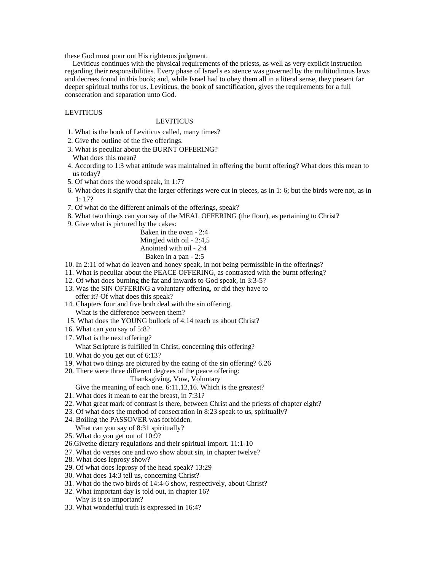these God must pour out His righteous judgment.

Leviticus continues with the physical requirements of the priests, as well as very explicit instruction regarding their responsibilities. Every phase of Israel's existence was governed by the multitudinous laws and decrees found in this book; and, while Israel had to obey them all in a literal sense, they present far deeper spiritual truths for us. Leviticus, the book of sanctification, gives the requirements for a full consecration and separation unto God.

## LEVITICUS

## **LEVITICUS**

- 1. What is the book of Leviticus called, many times?
- 2. Give the outline of the five offerings.
- 3. What is peculiar about the BURNT OFFERING?
- What does this mean?
- 4. According to 1:3 what attitude was maintained in offering the burnt offering? What does this mean to us today?
- 5. Of what does the wood speak, in 1:7?
- 6. What does it signify that the larger offerings were cut in pieces, as in 1: 6; but the birds were not, as in 1: 17?
- 7. Of what do the different animals of the offerings, speak?
- 8. What two things can you say of the MEAL OFFERING (the flour), as pertaining to Christ?
- 9. Give what is pictured by the cakes:

Baken in the oven - 2:4 Mingled with oil - 2:4,5 Anointed with oil - 2:4 Baken in a pan - 2:5

- 10. In 2:11 of what do leaven and honey speak, in not being permissible in the offerings?
- 11. What is peculiar about the PEACE OFFERING, as contrasted with the burnt offering?
- 12. Of what does burning the fat and inwards to God speak, in 3:3-5?
- 13. Was the SIN OFFERING a voluntary offering, or did they have to
- offer it? Of what does this speak?
- 14. Chapters four and five both deal with the sin offering. What is the difference between them?
- 15. What does the YOUNG bullock of 4:14 teach us about Christ?
- 16. What can you say of 5:8?
- 17. What is the next offering?

What Scripture is fulfilled in Christ, concerning this offering?

- 18. What do you get out of 6:13?
- 19. What two things are pictured by the eating of the sin offering? 6.26
- 20. There were three different degrees of the peace offering:

## Thanksgiving, Vow, Voluntary

Give the meaning of each one. 6:11,12,16. Which is the greatest?

- 21. What does it mean to eat the breast, in 7:31?
- 22. What great mark of contrast is there, between Christ and the priests of chapter eight?
- 23. Of what does the method of consecration in 8:23 speak to us, spiritually?
- 24. Boiling the PASSOVER was forbidden. What can you say of 8:31 spiritually?
- 25. What do you get out of 10:9?
- 
- 26.Givethe dietary regulations and their spiritual import. 11:1-10
- 27. What do verses one and two show about sin, in chapter twelve?
- 28. What does leprosy show?
- 29. Of what does leprosy of the head speak? 13:29
- 30. What does 14:3 tell us, concerning Christ?
- 31. What do the two birds of 14:4-6 show, respectively, about Christ?
- 32. What important day is told out, in chapter 16? Why is it so important?
- 33. What wonderful truth is expressed in 16:4?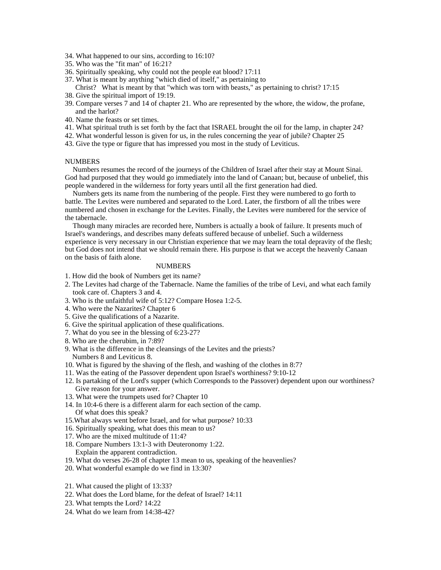- 34. What happened to our sins, according to 16:10?
- 35. Who was the "fit man" of 16:21?
- 36. Spiritually speaking, why could not the people eat blood? 17:11
- 37. What is meant by anything "which died of itself," as pertaining to

Christ? What is meant by that "which was torn with beasts," as pertaining to christ? 17:15 38. Give the spiritual import of 19:19.

- 39. Compare verses 7 and 14 of chapter 21. Who are represented by the whore, the widow, the profane, and the harlot?
- 40. Name the feasts or set times.
- 41. What spiritual truth is set forth by the fact that ISRAEL brought the oil for the lamp, in chapter 24?
- 42. What wonderful lesson is given for us, in the rules concerning the year of jubile? Chapter 25
- 43. Give the type or figure that has impressed you most in the study of Leviticus.

### NUMBERS

Numbers resumes the record of the journeys of the Children of Israel after their stay at Mount Sinai. God had purposed that they would go immediately into the land of Canaan; but, because of unbelief, this people wandered in the wilderness for forty years until all the first generation had died.

Numbers gets its name from the numbering of the people. First they were numbered to go forth to battle. The Levites were numbered and separated to the Lord. Later, the firstborn of all the tribes were numbered and chosen in exchange for the Levites. Finally, the Levites were numbered for the service of the tabernacle.

Though many miracles are recorded here, Numbers is actually a book of failure. It presents much of Israel's wanderings, and describes many defeats suffered because of unbelief. Such a wilderness experience is very necessary in our Christian experience that we may learn the total depravity of the flesh; but God does not intend that we should remain there. His purpose is that we accept the heavenly Canaan on the basis of faith alone.

## NUMBERS **NUMBERS**

- 1. How did the book of Numbers get its name?
- 2. The Levites had charge of the Tabernacle. Name the families of the tribe of Levi, and what each family took care of. Chapters 3 and 4.
- 3. Who is the unfaithful wife of 5:12? Compare Hosea 1:2-5.
- 4. Who were the Nazarites? Chapter 6
- 5. Give the qualifications of a Nazarite.
- 6. Give the spiritual application of these qualifications.
- 7. What do you see in the blessing of 6:23-27?
- 8. Who are the cherubim, in 7:89?
- 9. What is the difference in the cleansings of the Levites and the priests? Numbers 8 and Leviticus 8.
- 10. What is figured by the shaving of the flesh, and washing of the clothes in 8:7?
- 11. Was the eating of the Passover dependent upon Israel's worthiness? 9:10-12
- 12. Is partaking of the Lord's supper (which Corresponds to the Passover) dependent upon our worthiness? Give reason for your answer.
- 13. What were the trumpets used for? Chapter 10
- 14. In 10:4-6 there is a different alarm for each section of the camp.
- Of what does this speak?
- 15.What always went before Israel, and for what purpose? 10:33
- 16. Spiritually speaking, what does this mean to us?
- 17. Who are the mixed multitude of 11:4?
- 18. Compare Numbers 13:1-3 with Deuteronomy 1:22. Explain the apparent contradiction.
- 19. What do verses 26-28 of chapter 13 mean to us, speaking of the heavenlies?
- 20. What wonderful example do we find in 13:30?
- 21. What caused the plight of 13:33?
- 22. What does the Lord blame, for the defeat of Israel? 14:11
- 23. What tempts the Lord? 14:22
- 24. What do we learn from 14:38-42?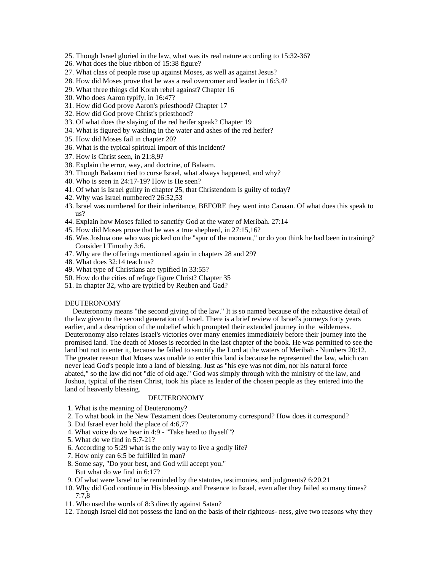- 25. Though Israel gloried in the law, what was its real nature according to 15:32-36?
- 26. What does the blue ribbon of 15:38 figure?
- 27. What class of people rose up against Moses, as well as against Jesus?
- 28. How did Moses prove that he was a real overcomer and leader in 16:3,4?
- 29. What three things did Korah rebel against? Chapter 16
- 30. Who does Aaron typify, in 16:47?
- 31. How did God prove Aaron's priesthood? Chapter 17
- 32. How did God prove Christ's priesthood?
- 33. Of what does the slaying of the red heifer speak? Chapter 19
- 34. What is figured by washing in the water and ashes of the red heifer?
- 35. How did Moses fail in chapter 20?
- 36. What is the typical spiritual import of this incident?
- 37. How is Christ seen, in 21:8,9?
- 38. Explain the error, way, and doctrine, of Balaam.
- 39. Though Balaam tried to curse Israel, what always happened, and why?
- 40. Who is seen in 24:17-19? How is He seen?
- 41. Of what is Israel guilty in chapter 25, that Christendom is guilty of today?
- 42. Why was Israel numbered? 26:52,53
- 43. Israel was numbered for their inheritance, BEFORE they went into Canaan. Of what does this speak to us?
- 44. Explain how Moses failed to sanctify God at the water of Meribah. 27:14
- 45. How did Moses prove that he was a true shepherd, in 27:15,16?
- 46. Was Joshua one who was picked on the "spur of the moment," or do you think he had been in training? Consider I Timothy 3:6.
- 47. Why are the offerings mentioned again in chapters 28 and 29?
- 48. What does 32:14 teach us?
- 49. What type of Christians are typified in 33:55?
- 50. How do the cities of refuge figure Christ? Chapter 35
- 51. In chapter 32, who are typified by Reuben and Gad?

### DEUTERONOMY

Deuteronomy means "the second giving of the law." It is so named because of the exhaustive detail of the law given to the second generation of Israel. There is a brief review of Israel's journeys forty years earlier, and a description of the unbelief which prompted their extended journey in the wilderness. Deuteronomy also relates Israel's victories over many enemies immediately before their journey into the promised land. The death of Moses is recorded in the last chapter of the book. He was permitted to see the land but not to enter it, because he failed to sanctify the Lord at the waters of Meribah - Numbers 20:12. The greater reason that Moses was unable to enter this land is because he represented the law, which can never lead God's people into a land of blessing. Just as "his eye was not dim, nor his natural force abated," so the law did not "die of old age." God was simply through with the ministry of the law, and Joshua, typical of the risen Christ, took his place as leader of the chosen people as they entered into the land of heavenly blessing.

### DEUTERONOMY

- 1. What is the meaning of Deuteronomy?
- 2. To what book in the New Testament does Deuteronomy correspond? How does it correspond?
- 3. Did Israel ever hold the place of 4:6,7?
- 4. What voice do we hear in 4:9 "Take heed to thyself"?
- 5. What do we find in 5:7-21?
- 6. According to 5:29 what is the only way to live a godly life?
- 7. How only can 6:5 be fulfilled in man?
- 8. Some say, "Do your best, and God will accept you." But what do we find in 6:17?
- 9. Of what were Israel to be reminded by the statutes, testimonies, and judgments? 6:20,21
- 10. Why did God continue in His blessings and Presence to Israel, even after they failed so many times? 7:7,8
- 11. Who used the words of 8:3 directly against Satan?
- 12. Though Israel did not possess the land on the basis of their righteous- ness, give two reasons why they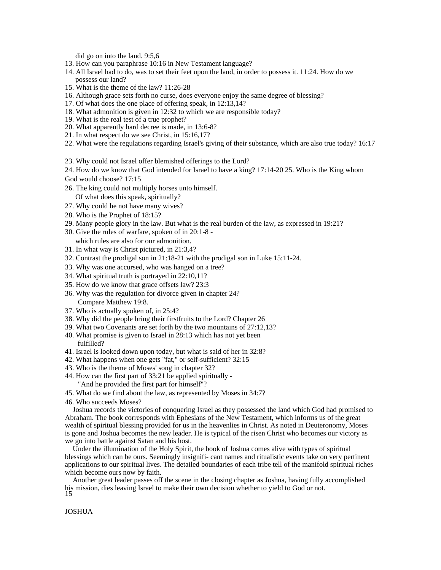did go on into the land. 9:5,6

- 13. How can you paraphrase 10:16 in New Testament language?
- 14. All Israel had to do, was to set their feet upon the land, in order to possess it. 11:24. How do we possess our land?
- 15. What is the theme of the law? 11:26-28
- 16. Although grace sets forth no curse, does everyone enjoy the same degree of blessing?
- 17. Of what does the one place of offering speak, in 12:13,14?
- 18. What admonition is given in 12:32 to which we are responsible today?
- 19. What is the real test of a true prophet?
- 20. What apparently hard decree is made, in 13:6-8?
- 21. In what respect do we see Christ, in 15:16,17?
- 22. What were the regulations regarding Israel's giving of their substance, which are also true today? 16:17
- 23. Why could not Israel offer blemished offerings to the Lord?
- 24. How do we know that God intended for Israel to have a king? 17:14-20 25. Who is the King whom God would choose? 17:15
- 26. The king could not multiply horses unto himself. Of what does this speak, spiritually?
- 27. Why could he not have many wives?
- 28. Who is the Prophet of 18:15?
- 29. Many people glory in the law. But what is the real burden of the law, as expressed in 19:21?
- 30. Give the rules of warfare, spoken of in 20:1-8 -
- which rules are also for our admonition.
- 31. In what way is Christ pictured, in 21:3,4?
- 32. Contrast the prodigal son in 21:18-21 with the prodigal son in Luke 15:11-24.
- 33. Why was one accursed, who was hanged on a tree?
- 34. What spiritual truth is portrayed in 22:10,11?
- 35. How do we know that grace offsets law? 23:3
- 36. Why was the regulation for divorce given in chapter 24? Compare Matthew 19:8.
- 37. Who is actually spoken of, in 25:4?
- 38. Why did the people bring their firstfruits to the Lord? Chapter 26
- 39. What two Covenants are set forth by the two mountains of 27:12,13?
- 40. What promise is given to Israel in 28:13 which has not yet been fulfilled?
- 41. Israel is looked down upon today, but what is said of her in 32:8?
- 42. What happens when one gets "fat," or self-sufficient? 32:15
- 43. Who is the theme of Moses' song in chapter 32?
- 44. How can the first part of 33:21 be applied spiritually "And he provided the first part for himself"?
- 45. What do we find about the law, as represented by Moses in 34:7?
- 46. Who succeeds Moses?

Joshua records the victories of conquering Israel as they possessed the land which God had promised to Abraham. The book corresponds with Ephesians of the New Testament, which informs us of the great wealth of spiritual blessing provided for us in the heavenlies in Christ. As noted in Deuteronomy, Moses is gone and Joshua becomes the new leader. He is typical of the risen Christ who becomes our victory as we go into battle against Satan and his host.

Under the illumination of the Holy Spirit, the book of Joshua comes alive with types of spiritual blessings which can be ours. Seemingly insignifi- cant names and ritualistic events take on very pertinent applications to our spiritual lives. The detailed boundaries of each tribe tell of the manifold spiritual riches which become ours now by faith.

Another great leader passes off the scene in the closing chapter as Joshua, having fully accomplished his mission, dies leaving Israel to make their own decision whether to yield to God or not.

## JOSHUA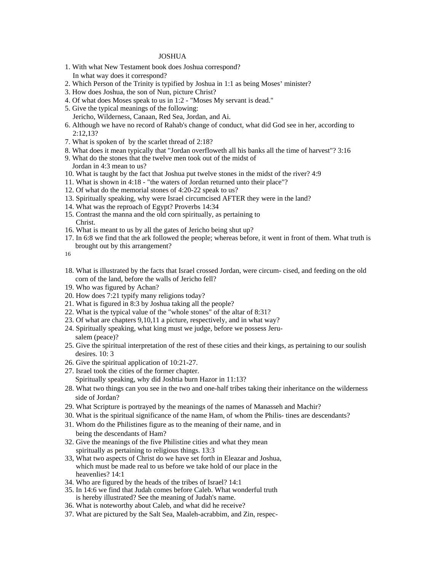## JOSHUA

- 1. With what New Testament book does Joshua correspond? In what way does it correspond?
- 2. Which Person of the Trinity is typified by Joshua in 1:1 as being Moses' minister?
- 3. How does Joshua, the son of Nun, picture Christ?
- 4. Of what does Moses speak to us in 1:2 "Moses My servant is dead."
- 5. Give the typical meanings of the following: Jericho, Wilderness, Canaan, Red Sea, Jordan, and Ai.
- 6. Although we have no record of Rahab's change of conduct, what did God see in her, according to 2:12,13?
- 7. What is spoken of by the scarlet thread of 2:18?
- 8. What does it mean typically that "Jordan overfloweth all his banks all the time of harvest"? 3:16
- 9. What do the stones that the twelve men took out of the midst of Jordan in 4:3 mean to us?
- 10. What is taught by the fact that Joshua put twelve stones in the midst of the river? 4:9
- 11. What is shown in 4:18 "the waters of Jordan returned unto their place"?
- 12. Of what do the memorial stones of 4:20-22 speak to us?
- 13. Spiritually speaking, why were Israel circumcised AFTER they were in the land?
- 14. What was the reproach of Egypt? Proverbs 14:34
- 15. Contrast the manna and the old corn spiritually, as pertaining to Christ.
- 16. What is meant to us by all the gates of Jericho being shut up?
- 17. In 6:8 we find that the ark followed the people; whereas before, it went in front of them. What truth is brought out by this arrangement?

16

- 18. What is illustrated by the facts that Israel crossed Jordan, were circum- cised, and feeding on the old corn of the land, before the walls of Jericho fell?
- 19. Who was figured by Achan?
- 20. How does 7:21 typify many religions today?
- 21. What is figured in 8:3 by Joshua taking all the people?
- 22. What is the typical value of the "whole stones" of the altar of 8:31?
- 23. Of what are chapters 9,10,11 a picture, respectively, and in what way?
- 24. Spiritually speaking, what king must we judge, before we possess Jerusalem (peace)?
- 25. Give the spiritual interpretation of the rest of these cities and their kings, as pertaining to our soulish desires. 10: 3
- 26. Give the spiritual application of 10:21-27.
- 27. Israel took the cities of the former chapter. Spiritually speaking, why did Joshtia burn Hazor in 11:13?
- 28. What two things can you see in the two and one-half tribes taking their inheritance on the wilderness side of Jordan?
- 29. What Scripture is portrayed by the meanings of the names of Manasseh and Machir?
- 30. What is the spiritual significance of the name Ham, of whom the Philis- tines are descendants?
- 31. Whom do the Philistines figure as to the meaning of their name, and in being the descendants of Ham?
- 32. Give the meanings of the five Philistine cities and what they mean spiritually as pertaining to religious things. 13:3
- 33, What two aspects of Christ do we have set forth in Eleazar and Joshua, which must be made real to us before we take hold of our place in the heavenlies? 14:1
- 34. Who are figured by the heads of the tribes of Israel? 14:1
- 35. In 14:6 we find that Judah comes before Caleb. What wonderful truth is hereby illustrated? See the meaning of Judah's name.
- 36. What is noteworthy about Caleb, and what did he receive?
- 37. What are pictured by the Salt Sea, Maaleh-acrabbim, and Zin, respec-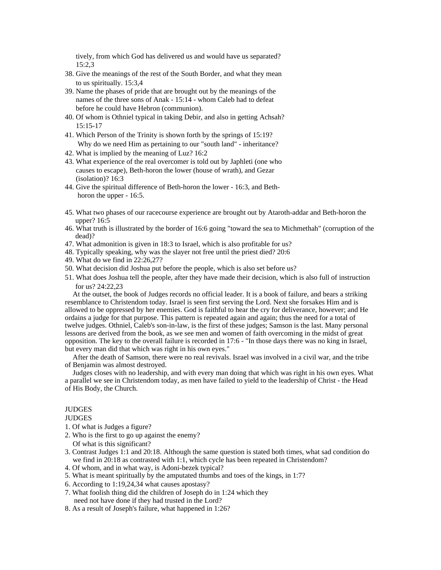tively, from which God has delivered us and would have us separated? 15:2,3

- 38. Give the meanings of the rest of the South Border, and what they mean to us spiritually.  $15:3,4$
- 39. Name the phases of pride that are brought out by the meanings of the names of the three sons of Anak - 15:14 - whom Caleb had to defeat before he could have Hebron (communion).
- 40. Of whom is Othniel typical in taking Debir, and also in getting Achsah? 15:15-17
- 41. Which Person of the Trinity is shown forth by the springs of 15:19? Why do we need Him as pertaining to our "south land" - inheritance?
- 42. What is implied by the meaning of Luz? 16:2
- 43. What experience of the real overcomer is told out by Japhleti (one who causes to escape), Beth-horon the lower (house of wrath), and Gezar (isolation)? 16:3
- 44. Give the spiritual difference of Beth-horon the lower 16:3, and Beth horon the upper - 16:5.
- 45. What two phases of our racecourse experience are brought out by Ataroth-addar and Beth-horon the upper? 16:5
- 46. What truth is illustrated by the border of 16:6 going "toward the sea to Michmethah" (corruption of the dead)?
- 47. What admonition is given in 18:3 to Israel, which is also profitable for us?
- 48. Typically speaking, why was the slayer not free until the priest died? 20:6
- 49. What do we find in 22:26,27?
- 50. What decision did Joshua put before the people, which is also set before us?
- 51. What does Joshua tell the people, after they have made their decision, which is also full of instruction for us?  $24:22,23$

At the outset, the book of Judges records no official leader. It is a book of failure, and bears a striking resemblance to Christendom today. Israel is seen first serving the Lord. Next she forsakes Him and is allowed to be oppressed by her enemies. God is faithful to hear the cry for deliverance, however; and He ordains a judge for that purpose. This pattern is repeated again and again; thus the need for a total of twelve judges. Othniel, Caleb's son-in-law, is the first of these judges; Samson is the last. Many personal lessons are derived from the book, as we see men and women of faith overcoming in the midst of great opposition. The key to the overall failure is recorded in 17:6 - "In those days there was no king in Israel, but every man did that which was right in his own eyes."

After the death of Samson, there were no real revivals. Israel was involved in a civil war, and the tribe of Benjamin was almost destroyed.

Judges closes with no leadership, and with every man doing that which was right in his own eyes. What a parallel we see in Christendom today, as men have failed to yield to the leadership of Christ - the Head of His Body, the Church.

## JUDGES

JUDGES

- 1. Of what is Judges a figure?
- 2. Who is the first to go up against the enemy? Of what is this significant?
- 3. Contrast Judges 1:1 and 20:18. Although the same question is stated both times, what sad condition do we find in 20:18 as contrasted with 1:1, which cycle has been repeated in Christendom?
- 4. Of whom, and in what way, is Adoni-bezek typical?
- 5. What is meant spiritually by the amputated thumbs and toes of the kings, in 1:7?
- 6. According to 1:19,24,34 what causes apostasy?
- 7. What foolish thing did the children of Joseph do in 1:24 which they need not have done if they had trusted in the Lord?
- 8. As a result of Joseph's failure, what happened in 1:26?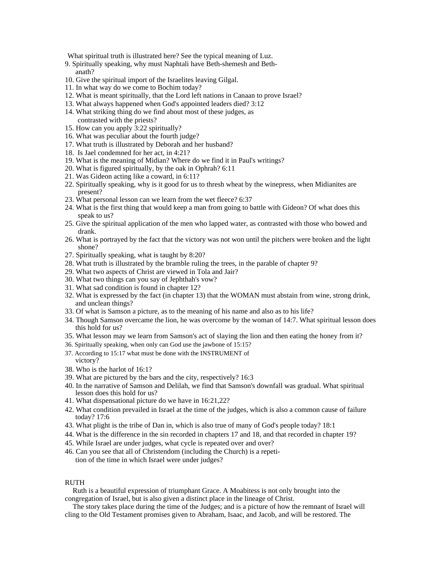What spiritual truth is illustrated here? See the typical meaning of Luz.

- 9. Spiritually speaking, why must Naphtali have Beth-shemesh and Bethanath? The contract of the contract of the contract of the contract of the contract of the contract of the contract of the contract of the contract of the contract of the contract of the contract of the contract of the con
- 10. Give the spiritual import of the Israelites leaving Gilgal.
- 11. In what way do we come to Bochim today?
- 12. What is meant spiritually, that the Lord left nations in Canaan to prove Israel?
- 13. What always happened when God's appointed leaders died? 3:12
- 14. What striking thing do we find about most of these judges, as contrasted with the priests?
- 15. How can you apply 3:22 spiritually?
- 16. What was peculiar about the fourth judge?
- 17. What truth is illustrated by Deborah and her husband?
- 18. Is Jael condemned for her act, in 4:21?
- 19. What is the meaning of Midian? Where do we find it in Paul's writings?
- 20. What is figured spiritually, by the oak in Ophrah? 6:11
- 21. Was Gideon acting like a coward, in 6:11?
- 22. Spiritually speaking, why is it good for us to thresh wheat by the winepress, when Midianites are present?
- 23. What personal lesson can we learn from the wet fleece? 6:37
- 24. What is the first thing that would keep a man from going to battle with Gideon? Of what does this speak to us? The set of the set of the set of the set of the set of the set of the set of the set of the set of the set of the set of the set of the set of the set of the set of the set of the set of the set of the set of
- 25. Give the spiritual application of the men who lapped water, as contrasted with those who bowed and drank. **Example 2008 Contract and Secure 2008 Contract and Secure 2008 Contract and Secure 2008**
- 26. What is portrayed by the fact that the victory was not won until the pitchers were broken and the light shone?
- 27. Spiritually speaking, what is taught by 8:20?
- 28. What truth is illustrated by the bramble ruling the trees, in the parable of chapter 9?
- 29. What two aspects of Christ are viewed in Tola and Jair?
- 30. What two things can you say of Jephthah's vow?
- 31. What sad condition is found in chapter 12?
- 32. What is expressed by the fact (in chapter 13) that the WOMAN must abstain from wine, strong drink, and unclean things?
- 33. Of what is Samson a picture, as to the meaning of his name and also as to his life?
- 34. Though Samson overcame the lion, he was overcome by the woman of 14:7. What spiritual lesson does this hold for us?
- 35. What lesson may we learn from Samson's act of slaying the lion and then eating the honey from it?
- 36. Spiritually speaking, when only can God use the jawbone of 15:15?
- 37. According to 15:17 what must be done with the INSTRUMENT of victory?
- 38. Who is the harlot of 16:1?
- 39. What are pictured by the bars and the city, respectively? 16:3
- 40. In the narrative of Samson and Delilah, we find that Samson's downfall was gradual. What spiritual lesson does this hold for us?
- 41. What dispensational picture do we have in 16:21,22?
- 42. What condition prevailed in Israel at the time of the judges, which is also a common cause of failure today? 17:6
- 43. What plight is the tribe of Dan in, which is also true of many of God's people today? 18:1
- 44. What is the difference in the sin recorded in chapters 17 and 18, and that recorded in chapter 19?
- 45. While Israel are under judges, what cycle is repeated over and over?
- 46. Can you see that all of Christendom (including the Church) is a repetition of the time in which Israel were under judges?

## RUTH THE RESERVE OF THE RESERVE OF THE RESERVE OF THE RESERVE OF THE RESERVE OF THE RESERVE OF THE RESERVE OF THE RESERVE OF THE RESERVE OF THE RESERVE OF THE RESERVE OF THE RESERVE OF THE RESERVE OF THE RESERVE OF THE RES

Ruth is a beautiful expression of triumphant Grace. A Moabitess is not only brought into the congregation of Israel, but is also given a distinct place in the lineage of Christ.

The story takes place during the time of the Judges; and is a picture of how the remnant of Israel will cling to the Old Testament promises given to Abraham, Isaac, and Jacob, and will be restored. The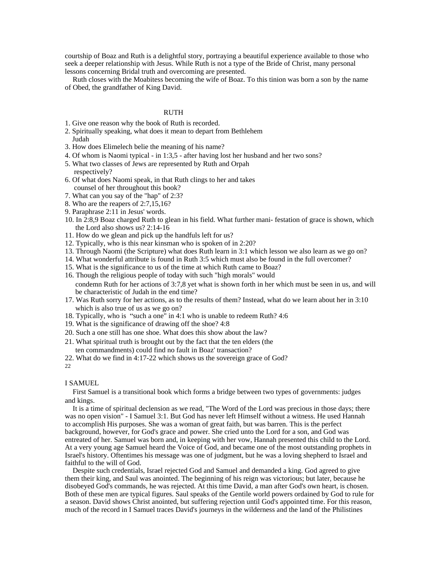courtship of Boaz and Ruth is a delightful story, portraying a beautiful experience available to those who seek a deeper relationship with Jesus. While Ruth is not a type of the Bride of Christ, many personal lessons concerning Bridal truth and overcoming are presented.

Ruth closes with the Moabitess becoming the wife of Boaz. To this tinion was born a son by the name of Obed, the grandfather of King David.

### RUTH **RUTH**

- 1. Give one reason why the book of Ruth is recorded.
- 2. Spiritually speaking, what does it mean to depart from Bethlehem Judah
- 3. How does Elimelech belie the meaning of his name?
- 4. Of whom is Naomi typical in 1:3,5 after having lost her husband and her two sons?
- 5. What two classes of Jews are represented by Ruth and Orpah respectively?
- 6. Of what does Naomi speak, in that Ruth clings to her and takes counsel of her throughout this book?
- 7. What can you say of the "hap" of 2:3?
- 8. Who are the reapers of 2:7,15,16?
- 9. Paraphrase 2:11 in Jesus' words.
- 10. In 2:8,9 Boaz charged Ruth to glean in his field. What further mani- festation of grace is shown, which the Lord also shows us? 2:14-16
- 11. How do we glean and pick up the handfuls left for us?
- 12. Typically, who is this near kinsman who is spoken of in 2:20?
- 13. Through Naomi (the Scripture) what does Ruth learn in 3:1 which lesson we also learn as we go on?
- 14. What wonderful attribute is found in Ruth 3:5 which must also be found in the full overcomer?
- 15. What is the significance to us of the time at which Ruth came to Boaz?
- 16. Though the religious people of today with such "high morals" would condemn Ruth for her actions of 3:7,8 yet what is shown forth in her which must be seen in us, and will be characteristic of Judah in the end time?
- 17. Was Ruth sorry for her actions, as to the results of them? Instead, what do we learn about her in 3:10 which is also true of us as we go on?
- 18. Typically, who is "such a one" in 4:1 who is unable to redeem Ruth? 4:6
- 19. What is the significance of drawing off the shoe? 4:8
- 20. Such a one still has one shoe. What does this show about the law?
- 21. What spiritual truth is brought out by the fact that the ten elders (the ten commandments) could find no fault in Boaz' transaction?
- 22. What do we find in 4:17-22 which shows us the sovereign grace of God?
- 22 **Саматически** производительно политической социалистической социалистической социалистической социалистической<br>Социалистической социалистической социалистической социалистической социалистической социалистической социа

### I SAMUEL

First Samuel is a transitional book which forms a bridge between two types of governments: judges and kings.

It is a time of spiritual declension as we read, "The Word of the Lord was precious in those days; there was no open vision" - I Samuel 3:1. But God has never left Himself without a witness. He used Hannah to accomplish His purposes. She was a woman of great faith, but was barren. This is the perfect background, however, for God's grace and power. She cried unto the Lord for a son, and God was entreated of her. Samuel was born and, in keeping with her vow, Hannah presented this child to the Lord. At a very young age Samuel heard the Voice of God, and became one of the most outstanding prophets in Israel's history. Oftentimes his message was one of judgment, but he was a loving shepherd to Israel and faithful to the will of God.

Despite such credentials, Israel rejected God and Samuel and demanded a king. God agreed to give them their king, and Saul was anointed. The beginning of his reign was victorious; but later, because he disobeyed God's commands, he was rejected. At this time David, a man after God's own heart, is chosen. Both of these men are typical figures. Saul speaks of the Gentile world powers ordained by God to rule for a season. David shows Christ anointed, but suffering rejection until God's appointed time. For this reason, much of the record in I Samuel traces David's journeys in the wilderness and the land of the Philistines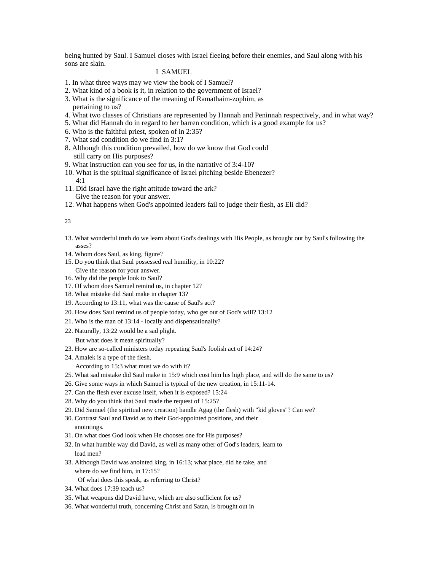being hunted by Saul. I Samuel closes with Israel fleeing before their enemies, and Saul along with his sons are slain.

## I SAMUEL

- 1. In what three ways may we view the book of I Samuel?
- 2. What kind of a book is it, in relation to the government of Israel?
- 3. What is the significance of the meaning of Ramathaim-zophim, as pertaining to us?
- 4. What two classes of Christians are represented by Hannah and Peninnah respectively, and in what way?
- 5. What did Hannah do in regard to her barren condition, which is a good example for us?
- 6. Who is the faithful priest, spoken of in 2:35?
- 7. What sad condition do we find in 3:1?
- 8. Although this condition prevailed, how do we know that God could still carry on His purposes?
- 9. What instruction can you see for us, in the narrative of 3:4-10?
- 10. What is the spiritual significance of Israel pitching beside Ebenezer?
- 4:1 11. Did Israel have the right attitude toward the ark? Give the reason for your answer.
- 12. What happens when God's appointed leaders fail to judge their flesh, as Eli did?

#### 23 мај *година* и се од селото на селото на селото на селото на селото на селото на селото на селото на селото н<br>Селото на селото на селото на селото на селото на селото на селото на селото на селото на селото на селото н

- 13. What wonderful truth do we learn about God's dealings with His People, as brought out by Saul's following the asses?
- 14. Whom does Saul, as king, figure?
- 15. Do you think that Saul possessed real humility, in 10:22? Give the reason for your answer.
- 16. Why did the people look to Saul?
- 17. Of whom does Samuel remind us, in chapter 12?
- 18. What mistake did Saul make in chapter 13?
- 19. According to 13:11, what was the cause of Saul's act?
- 20. How does Saul remind us of people today, who get out of God's will? 13:12
- 21. Who is the man of 13:14 locally and dispensationally?
- 22. Naturally, 13:22 would be a sad plight.

But what does it mean spiritually?

- 23. How are so-called ministers today repeating Saul's foolish act of 14:24?
- 24. Amalek is a type of the flesh.
	- According to 15:3 what must we do with it?
- 25. What sad mistake did Saul make in 15:9 which cost him his high place, and will do the same to us?
- 26. Give some ways in which Samuel is typical of the new creation, in 15:11-14.
- 27. Can the flesh ever excuse itself, when it is exposed? 15:24
- 28. Why do you think that Saul made the request of 15:25?
- 29. Did Samuel (the spiritual new creation) handle Agag (the flesh) with "kid gloves"? Can we?
- 30. Contrast Saul and David as to their God-appointed positions, and their anointings.
- 31. On what does God look when He chooses one for His purposes?
- 32. In what humble way did David, as well as many other of God's leaders, learn to lead men?
- 33. Although David was anointed king, in 16:13; what place, did he take, and where do we find him, in 17:15? Of what does this speak, as referring to Christ?
- 34. What does 17:39 teach us?
- 35. What weapons did David have, which are also sufficient for us?
- 36. What wonderful truth, concerning Christ and Satan, is brought out in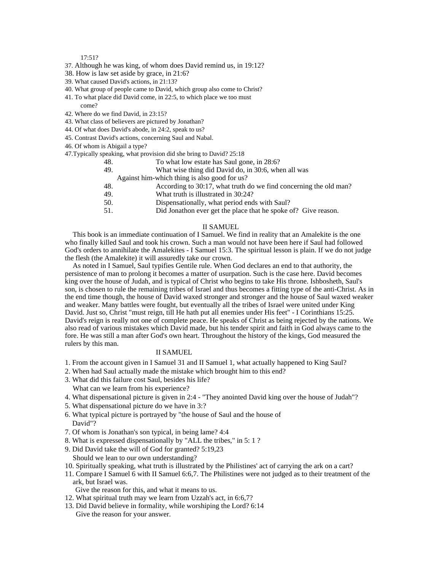#### 17:51?

- 37. Although he was king, of whom does David remind us, in 19:12?
- 38. How is law set aside by grace, in 21:6?
- 39. What caused David's actions, in 21:13?
- 40. What group of people came to David, which group also come to Christ?
- 41. To what place did David come, in 22:5, to which place we too must come?
- 42. Where do we find David, in 23:15?
- 43. What class of believers are pictured by Jonathan?
- 44. Of what does David's abode, in 24:2, speak to us?
- 45. Contrast David's actions, concerning Saul and Nabal.
- 46. Of whom is Abigail a type?
- 47.Typically speaking, what provision did she bring to David? 25:18

|     | To what low estate has Saul gone, in 28:6?                        |  |
|-----|-------------------------------------------------------------------|--|
| 49. | What wise thing did David do, in 30:6, when all was               |  |
|     | Against him-which thing is also good for us?                      |  |
|     | According to 30:17, what truth do we find concerning the old man? |  |
| 49. | What truth is illustrated in 30:24?                               |  |
|     | Dispensationally, what period ends with Saul?                     |  |
| 51. | Did Jonathon ever get the place that he spoke of? Give reason.    |  |
|     |                                                                   |  |

### II SAMUEL

This book is an immediate continuation of I Samuel. We find in reality that an Amalekite is the one who finally killed Saul and took his crown. Such a man would not have been here if Saul had followed God's orders to annihilate the Amalekites - I Samuel 15:3. The spiritual lesson is plain. If we do not judge the flesh (the Amalekite) it will assuredly take our crown.

As noted in I Samuel, Saul typifies Gentile rule. When God declares an end to that authority, the persistence of man to prolong it becomes a matter of usurpation. Such is the case here. David becomes king over the house of Judah, and is typical of Christ who begins to take His throne. Ishbosheth, Saul's son, is chosen to rule the remaining tribes of Israel and thus becomes a fitting type of the anti-Christ. As in the end time though, the house of David waxed stronger and stronger and the house of Saul waxed weaker and weaker. Many battles were fought, but eventually all the tribes of Israel were united under King David. Just so, Christ "must reign, till He hath put all enemies under His feet" - I Corinthians 15:25. David's reign is really not one of complete peace. He speaks of Christ as being rejected by the nations. We also read of various mistakes which David made, but his tender spirit and faith in God always came to the fore. He was still a man after God's own heart. Throughout the history of the kings, God measured the rulers by this man.

### II SAMUEL

- 1. From the account given in I Samuel 31 and II Samuel 1, what actually happened to King Saul?
- 2. When had Saul actually made the mistake which brought him to this end?
- 3. What did this failure cost Saul, besides his life? What can we learn from his experience?
- 4. What dispensational picture is given in 2:4 "They anointed David king over the house of Judah"?
- 5. What dispensational picture do we have in 3:?
- 6. What typical picture is portrayed by "the house of Saul and the house of David"?
- 7. Of whom is Jonathan's son typical, in being lame? 4:4
- 8. What is expressed dispensationally by "ALL the tribes," in 5: 1 ?
- 9. Did David take the will of God for granted? 5:19,23
- Should we lean to our own understanding?
- 10. Spiritually speaking, what truth is illustrated by the Philistines' act of carrying the ark on a cart?
- 11. Compare I Samuel 6 with II Samuel 6:6,7. The Philistines were not judged as to their treatment of the ark, but Israel was.
	- Give the reason for this, and what it means to us.
- 12. What spiritual truth may we learn from Uzzah's act, in 6:6,7?
- 13. Did David believe in formality, while worshiping the Lord? 6:14 Give the reason for your answer.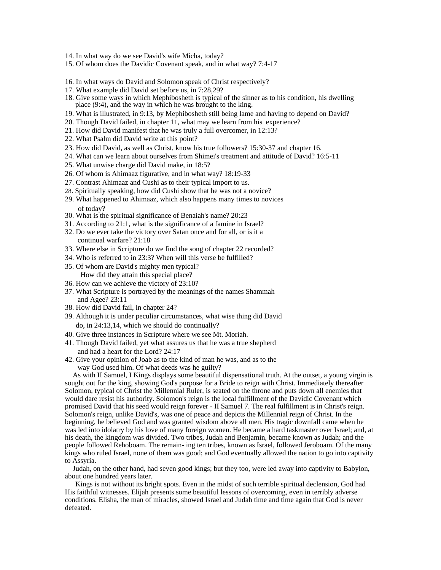- 14. In what way do we see David's wife Micha, today?
- 15. Of whom does the Davidic Covenant speak, and in what way? 7:4-17
- 16. In what ways do David and Solomon speak of Christ respectively?
- 17. What example did David set before us, in 7:28,29?
- 18. Give some ways in which Mephibosheth is typical of the sinner as to his condition, his dwelling place (9:4), and the way in which he was brought to the king.
- 19. What is illustrated, in 9:13, by Mephibosheth still being lame and having to depend on David?
- 20. Though David failed, in chapter 11, what may we learn from his experience?
- 21. How did David manifest that he was truly a full overcomer, in 12:13?
- 22. What Psalm did David write at this point?
- 23. How did David, as well as Christ, know his true followers? 15:30-37 and chapter 16.
- 24. What can we learn about ourselves from Shimei's treatment and attitude of David? 16:5-11
- 25. What unwise charge did David make, in 18:5?
- 26. Of whom is Ahimaaz figurative, and in what way? 18:19-33
- 27. Contrast Ahimaaz and Cushi as to their typical import to us.
- 28. Spiritually speaking, how did Cushi show that he was not a novice?
- 29. What happened to Ahimaaz, which also happens many times to novices of today?
- 30. What is the spiritual significance of Benaiah's name? 20:23
- 31. According to 21:1, what is the significance of a famine in Israel?
- 32. Do we ever take the victory over Satan once and for all, or is it a continual warfare? 21:18
- 33. Where else in Scripture do we find the song of chapter 22 recorded?
- 34. Who is referred to in 23:3? When will this verse be fulfilled?
- 35. Of whom are David's mighty men typical? How did they attain this special place?
- 36. How can we achieve the victory of 23:10?
- 37. What Scripture is portrayed by the meanings of the names Shammah and Agee? 23:11
- 38. How did David fail, in chapter 24?
- 39. Although it is under peculiar circumstances, what wise thing did David do, in 24:13,14, which we should do continually?
- 40. Give three instances in Scripture where we see Mt. Moriah.
- 41. Though David failed, yet what assures us that he was a true shepherd and had a heart for the Lord? 24:17
- 42. Give your opinion of Joab as to the kind of man he was, and as to the way God used him. Of what deeds was he guilty?

As with II Samuel, I Kings displays some beautiful dispensational truth. At the outset, a young virgin is sought out for the king, showing God's purpose for a Bride to reign with Christ. Immediately thereafter Solomon, typical of Christ the Millennial Ruler, is seated on the throne and puts down all enemies that would dare resist his authority. Solomon's reign is the local fulfillment of the Davidic Covenant which promised David that his seed would reign forever - II Samuel 7. The real fulfillment is in Christ's reign. Solomon's reign, unlike David's, was one of peace and depicts the Millennial reign of Christ. In the beginning, he believed God and was granted wisdom above all men. His tragic downfall came when he was led into idolatry by his love of many foreign women. He became a hard taskmaster over Israel; and, at his death, the kingdom was divided. Two tribes, Judah and Benjamin, became known as Judah; and the people followed Rehoboam. The remain- ing ten tribes, known as Israel, followed Jeroboam. Of the many kings who ruled Israel, none of them was good; and God eventually allowed the nation to go into captivity to Assyria.

Judah, on the other hand, had seven good kings; but they too, were led away into captivity to Babylon, about one hundred years later.

Kings is not without its bright spots. Even in the midst of such terrible spiritual declension, God had His faithful witnesses. Elijah presents some beautiful lessons of overcoming, even in terribly adverse conditions. Elisha, the man of miracles, showed Israel and Judah time and time again that God is never defeated.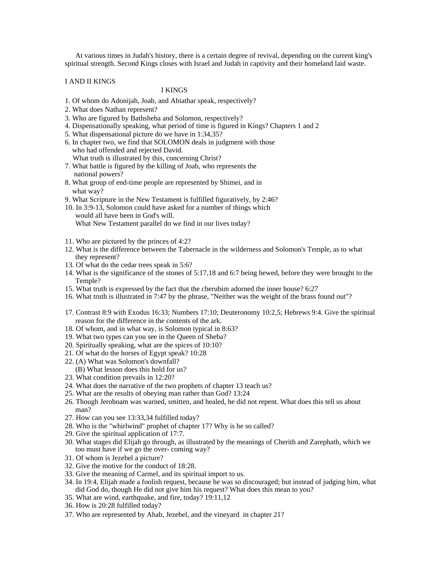At various times in Judah's history, there is a certain degree of revival, depending on the current king's spiritual strength. Second Kings closes with Israel and Judah in captivity and their homeland laid waste.

### I AND II KINGS

## I KINGS

- 1. Of whom do Adonijah, Joab, and Abiathar speak, respectively?
- 2. What does Nathan represent?
- 3. Who are figured by Bathsheba and Solomon, respectively?
- 4. Dispensationally speaking, what period of time is figured in Kings? Chapters 1 and 2
- 5. What dispensational picture do we have in 1:34,35?
- 6. In chapter two, we find that SOLOMON deals in judgment with those who had offended and rejected David.
	- What truth is illustrated by this, concerning Christ?
- 7. What battle is figured by the killing of Joab, who represents the national powers?
- 8. What group of end-time people are represented by Shimei, and in what way?
- 9. What Scripture in the New Testament is fulfilled figuratively, by 2:46?
- 10. In 3:9-13, Solomon could have asked for a number of things which would all have been in God's will. What New Testament parallel do we find in our lives today?
- 11. Who are pictured by the princes of 4:2?
- 12. What is the difference between the Tabernacle in the wilderness and Solomon's Temple, as to what they represent?
- 13. Of what do the cedar trees speak in 5:6?
- 14. What is the significance of the stones of 5:17,18 and 6:7 being hewed, before they were brought to the Temple?
- 15. What truth is expressed by the fact that the cherubim adorned the inner house? 6:27
- 16. What truth is illustrated in 7:47 by the phrase, "Neither was the weight of the brass found out"?
- 17. Contrast 8:9 with Exodus 16:33; Numbers 17:10; Deuteronomy 10:2,5; Hebrews 9:4. Give the spiritual reason for the difference in the contents of the ark.
- 18. Of whom, and in what way, is Solomon typical in 8:63?
- 19. What two types can you see in the Queen of Sheba?
- 20. Spiritually speaking, what are the spices of 10:10?
- 21. Of what do the horses of Egypt speak? 10:28
- 22. (A) What was Solomon's downfall?
- (B) What lesson does this hold for us?
- 23. What condition prevails in 12:20?
- 24. What does the narrative of the two prophets of chapter 13 teach us?
- 25. What are the results of obeying man rather than God? 13:24
- 26. Though Jeroboam was warned, smitten, and healed, he did not repent. What does this tell us about man? The contract of the contract of the contract of the contract of the contract of the contract of the contract of the contract of the contract of the contract of the contract of the contract of the contract of the contr
- 27. How can you see 13:33,34 fulfilled today?
- 28. Who is the "whirlwind" prophet of chapter 17? Why is he so called?
- 29. Give the spiritual application of 17:7.
- 30. What stages did Elijah go through, as illustrated by the meanings of Cherith and Zarephath, which we too must have if we go the over- coming way?
- 31. Of whom is Jezebel a picture?
- 32. Give the motive for the conduct of 18:28.
- 33. Give the meaning of Carmel, and its spiritual import to us.
- 34. In 19:4, Elijah made a foolish request, because he was so discouraged; but instead of judging him, what did God do, though He did not give him his request? What does this mean to you?
- 35. What are wind, earthquake, and fire, today? 19:11,12
- 36. How is 20:28 fulfilled today?
- 37. Who are represented by Ahab, Jezebel, and the vineyard in chapter 21?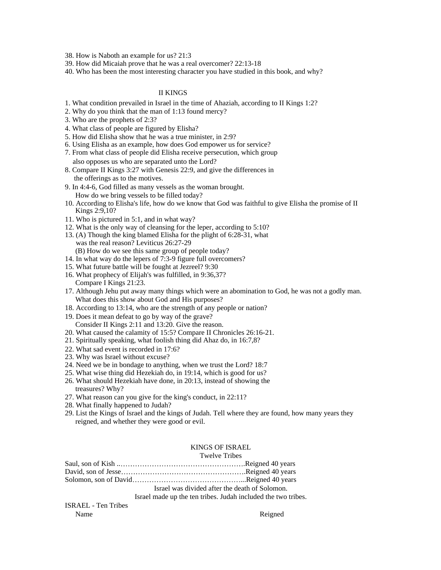38. How is Naboth an example for us? 21:3

- 39. How did Micaiah prove that he was a real overcomer? 22:13-18
- 40. Who has been the most interesting character you have studied in this book, and why?

## II KINGS

- 1. What condition prevailed in Israel in the time of Ahaziah, according to II Kings 1:2?
- 2. Why do you think that the man of 1:13 found mercy?
- 3. Who are the prophets of 2:3?
- 4. What class of people are figured by Elisha?
- 5. How did Elisha show that he was a true minister, in 2:9?
- 6. Using Elisha as an example, how does God empower us for service?
- 7. From what class of people did Elisha receive persecution, which group

also opposes us who are separated unto the Lord?

- 8. Compare II Kings 3:27 with Genesis 22:9, and give the differences in the offerings as to the motives.
- 9. In 4:4-6, God filled as many vessels as the woman brought. How do we bring vessels to be filled today?
- 10. According to Elisha's life, how do we know that God was faithful to give Elisha the promise of II Kings 2:9,10?
- 11. Who is pictured in 5:1, and in what way?
- 12. What is the only way of cleansing for the leper, according to 5:10?
- 13. (A) Though the king blamed Elisha for the plight of 6:28-31, what was the real reason? Leviticus 26:27-29 (B) How do we see this same group of people today?
- 14. In what way do the lepers of 7:3-9 figure full overcomers?
- 15. What future battle will be fought at Jezreel? 9:30
- 16. What prophecy of Elijah's was fulfilled, in 9:36,37? Compare I Kings 21:23.
- 17. Although Jehu put away many things which were an abomination to God, he was not a godly man. What does this show about God and His purposes?
- 18. According to 13:14, who are the strength of any people or nation?
- 19. Does it mean defeat to go by way of the grave? Consider II Kings 2:11 and 13:20. Give the reason.
- 20. What caused the calamity of 15:5? Compare II Chronicles 26:16-21.
- 21. Spiritually speaking, what foolish thing did Ahaz do, in 16:7,8?
- 22. What sad event is recorded in 17:6?
- 23. Why was Israel without excuse?
- 24. Need we be in bondage to anything, when we trust the Lord? 18:7
- 25. What wise thing did Hezekiah do, in 19:14, which is good for us?
- 26. What should Hezekiah have done, in 20:13, instead of showing the treasures? Why?
- 27. What reason can you give for the king's conduct, in 22:11?
- 28. What finally happened to Judah?
- 29. List the Kings of Israel and the kings of Judah. Tell where they are found, how many years they reigned, and whether they were good or evil.

## KINGS OF ISRAEL

### Twelve Tribes

|                            | Israel was divided after the death of Solomon.                |  |  |
|----------------------------|---------------------------------------------------------------|--|--|
|                            | Israel made up the ten tribes. Judah included the two tribes. |  |  |
| <b>ISRAEL</b> - Ten Tribes |                                                               |  |  |
| Name                       | Reigned                                                       |  |  |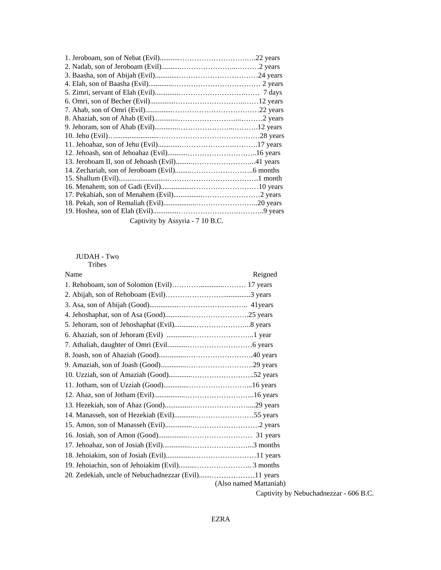| 1. Jeroboam, son of Nebat (Evil)       | 22 years |
|----------------------------------------|----------|
| 2. Nadab, son of Jeroboam (Evil)       |          |
| 3. Baasha, son of Abijah (Evil).       | 24 vears |
| 4. Elah, son of Baasha (Evil)          |          |
| 5. Zimri, servant of Elah (Evil)       | davs     |
| 6. Omri, son of Becher (Evil).         | 2 years  |
| 7. Ahab, son of Omri (Evil)            | 2 vears  |
| 8. Ahaziah, son of Ahab (Evil)         |          |
| 9. Jehoram, son of Ahab (Evil)         | ' vears  |
| 10. Jehu (Evil)                        | 28 years |
| 11. Jehoahaz, son of Jehu (Evil)       | / vears  |
| 12. Jehoash, son of Jehoahaz (Evil)    | 6 vears  |
| 13. Jeroboam II, son of Jehoash (Evil) | l vears  |
| 14. Zechariah, son of Jeroboam (Evil)  | i months |
| 15. Shallum (Evil)                     | l month  |
| 16. Menahem, son of Gadi (Evil)        | 0 vears  |
| 17. Pekahiah, son of Menahem (Evil)    | vears    |
| 18. Pekah, son of Remaliah (Evil).     |          |
| 19. Hoshea, son of Elah (Evil).        | vears    |
| Captivity by Assyria - 7 10 B.C.       |          |

# JUDAH - Two Tribes and the contract of the contract of the contract of the contract of the contract of the contract of the contract of the contract of the contract of the contract of the contract of the contract of the contract of the

| Name                                     | Reigned                |  |  |
|------------------------------------------|------------------------|--|--|
| 1. Rehoboam, son of Solomon (Evil).      | 17 years               |  |  |
| 2. Abijah, son of Rehoboam (Evil)        | 3 years                |  |  |
| 3. Asa, son of Abijah (Good)<br>41 years |                        |  |  |
| 4. Jehoshaphat, son of Asa (Good)        | $\dots$ 25 years       |  |  |
| 5. Jehoram, son of Jehoshaphat (Evil)    | .8 years               |  |  |
| 6. Ahaziah, son of Jehoram (Evil)        | l vear                 |  |  |
| 7. Athaliah, daughter of Omri (Evil      | 6 years                |  |  |
| 8. Joash, son of Ahaziah (Good)          | .40 years              |  |  |
| 9. Amaziah, son of Joash (Good)          | .29 years              |  |  |
| 10. Uzziah, son of Amaziah (Good)        | .52 years              |  |  |
| 11. Jotham, son of Uzziah (Good)         | 16 years               |  |  |
| 12. Ahaz, son of Jotham (Evil)           | .16 years              |  |  |
| 13. Hezekiah, son of Ahaz (Good)         | 29 years               |  |  |
| 14. Manasseh, son of Hezekiah (Evil)     | 55 years               |  |  |
| 15. Amon, son of Manasseh (Evil)         | .2 vears               |  |  |
| 16. Josiah, son of Amon (Good)           | 31 years               |  |  |
| 17. Jehoahaz, son of Josiah (Evil)       | } month                |  |  |
| 18. Jehoiakim, son of Josiah (Evil)      | .11 years              |  |  |
| 19. Jehoiachin, son of Jehoiakim (Evil)  |                        |  |  |
|                                          |                        |  |  |
|                                          | (Also named Mattaniah) |  |  |

Captivity by Nebuchadnezzar - 606 B.C.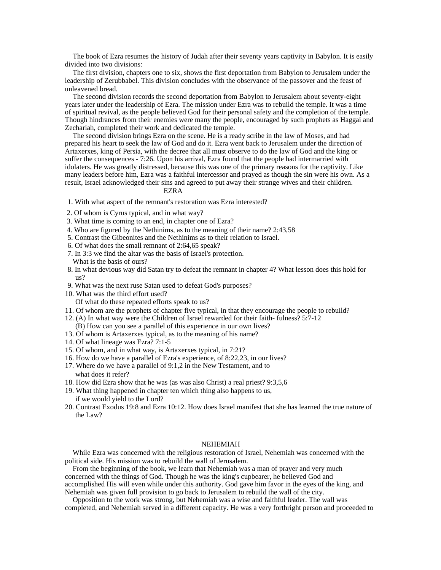The book of Ezra resumes the history of Judah after their seventy years captivity in Babylon. It is easily divided into two divisions:

The first division, chapters one to six, shows the first deportation from Babylon to Jerusalem under the leadership of Zerubbabel. This division concludes with the observance of the passover and the feast of unleavened bread.

The second division records the second deportation from Babylon to Jerusalem about seventy-eight years later under the leadership of Ezra. The mission under Ezra was to rebuild the temple. It was a time of spiritual revival, as the people believed God for their personal safety and the completion of the temple. Though hindrances from their enemies were many the people, encouraged by such prophets as Haggai and Zechariah, completed their work and dedicated the temple.

The second division brings Ezra on the scene. He is a ready scribe in the law of Moses, and had prepared his heart to seek the law of God and do it. Ezra went back to Jerusalem under the direction of Artaxerxes, king of Persia, with the decree that all must observe to do the law of God and the king or suffer the consequences - 7:26. Upon his arrival, Ezra found that the people had intermarried with idolaters. He was greatly distressed, because this was one of the primary reasons for the captivity. Like many leaders before him, Ezra was a faithful intercessor and prayed as though the sin were his own. As a result, Israel acknowledged their sins and agreed to put away their strange wives and their children.

## EZRA

- 1. With what aspect of the remnant's restoration was Ezra interested?
- 2. Of whom is Cyrus typical, and in what way?
- 3. What time is coming to an end, in chapter one of Ezra?
- 4. Who are figured by the Nethinims, as to the meaning of their name? 2:43,58
- 5. Contrast the Gibeonites and the Nethinims as to their relation to Israel.
- 6. Of what does the small remnant of 2:64,65 speak?
- 7. In 3:3 we find the altar was the basis of Israel's protection. What is the basis of ours?
- 8. In what devious way did Satan try to defeat the remnant in chapter 4? What lesson does this hold for us?
- 9. What was the next ruse Satan used to defeat God's purposes?
- 10. What was the third effort used? Of what do these repeated efforts speak to us?
- 
- 11. Of whom are the prophets of chapter five typical, in that they encourage the people to rebuild?
- 12. (A) In what way were the Children of Israel rewarded for their faith- fulness? 5:7-12
- (B) How can you see a parallel of this experience in our own lives?
- 13. Of whom is Artaxerxes typical, as to the meaning of his name?
- 14. Of what lineage was Ezra? 7:1-5
- 15. Of whom, and in what way, is Artaxerxes typical, in 7:21?
- 16. How do we have a parallel of Ezra's experience, of 8:22,23, in our lives?
- 17. Where do we have a parallel of 9:1,2 in the New Testament, and to what does it refer?
- 18. How did Ezra show that he was (as was also Christ) a real priest? 9:3,5,6
- 19. What thing happened in chapter ten which thing also happens to us, if we would yield to the Lord?
- 20. Contrast Exodus 19:8 and Ezra 10:12. How does Israel manifest that she has learned the true nature of the Law?

### NEHEMIAH

While Ezra was concerned with the religious restoration of Israel, Nehemiah was concerned with the political side. His mission was to rebuild the wall of Jerusalem.

From the beginning of the book, we learn that Nehemiah was a man of prayer and very much concerned with the things of God. Though he was the king's cupbearer, he believed God and accomplished His will even while under this authority. God gave him favor in the eyes of the king, and Nehemiah was given full provision to go back to Jerusalem to rebuild the wall of the city.

Opposition to the work was strong, but Nehemiah was a wise and faithful leader. The wall was completed, and Nehemiah served in a different capacity. He was a very forthright person and proceeded to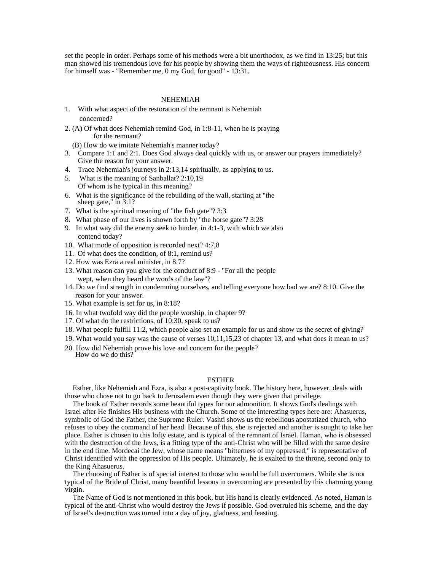set the people in order. Perhaps some of his methods were a bit unorthodox, as we find in 13:25; but this man showed his tremendous love for his people by showing them the ways of righteousness. His concern for himself was - "Remember me, 0 my God, for good" - 13:31.

### NEHEMIAH

- 1. With what aspect of the restoration of the remnant is Nehemiah concerned?
- 2. (A) Of what does Nehemiah remind God, in 1:8-11, when he is praying for the remnant?

(B) How do we imitate Nehemiah's manner today?

- 3. Compare 1:1 and 2:1. Does God always deal quickly with us, or answer our prayers immediately? Give the reason for your answer.
- 4. Trace Nehemiah's journeys in 2:13,14 spiritually, as applying to us.
- 5. What is the meaning of Sanballat? 2:10,19 Of whom is he typical in this meaning?
- 6. What is the significance of the rebuilding of the wall, starting at "the sheep gate," in 3:1?
- 7. What is the spiritual meaning of "the fish gate"? 3:3
- 8. What phase of our lives is shown forth by "the horse gate"? 3:28
- 9. In what way did the enemy seek to hinder, in 4:1-3, with which we also contend today?
- 10. What mode of opposition is recorded next? 4:7,8
- 11.Of what does the condition, of 8:1, remind us?
- 12. How was Ezra a real minister, in 8:7?
- 13. What reason can you give for the conduct of 8:9 "For all the people wept, when they heard the words of the law"?
- 14. Do we find strength in condemning ourselves, and telling everyone how bad we are? 8:10. Give the reason for your answer.
- 15. What example is set for us, in 8:18?
- 16. In what twofold way did the people worship, in chapter 9?
- 17. Of what do the restrictions, of 10:30, speak to us?
- 18. What people fulfill 11:2, which people also set an example for us and show us the secret of giving?
- 19. What would you say was the cause of verses 10,11,15,23 of chapter 13, and what does it mean to us?
- 20. How did Nehemiah prove his love and concern for the people? How do we do this? The same state of the state of the state of the state of the state of the state of the state of the state of the state of the state of the state of the state of the state of the state of the state of the

### ESTHER

Esther, like Nehemiah and Ezra, is also a post-captivity book. The history here, however, deals with those who chose not to go back to Jerusalem even though they were given that privilege.

The book of Esther records some beautiful types for our admonition. It shows God's dealings with Israel after He finishes His business with the Church. Some of the interesting types here are: Ahasuerus, symbolic of God the Father, the Supreme Ruler. Vashti shows us the rebellious apostatized church, who refuses to obey the command of her head. Because of this, she is rejected and another is sought to take her place. Esther is chosen to this lofty estate, and is typical of the remnant of Israel. Haman, who is obsessed with the destruction of the Jews, is a fitting type of the anti-Christ who will be filled with the same desire in the end time. Mordecai the Jew, whose name means "bitterness of my oppressed," is representative of Christ identified with the oppression of His people. Ultimately, he is exalted to the throne, second only to the King Ahasuerus.

The choosing of Esther is of special interest to those who would be full overcomers. While she is not typical of the Bride of Christ, many beautiful lessons in overcoming are presented by this charming young virgin.

The Name of God is not mentioned in this book, but His hand is clearly evidenced. As noted, Haman is typical of the anti-Christ who would destroy the Jews if possible. God overruled his scheme, and the day of Israel's destruction was turned into a day of joy, gladness, and feasting.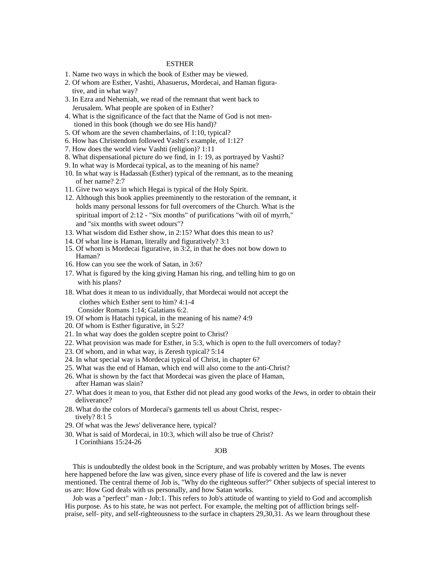### ESTHER

- 1. Name two ways in which the book of Esther may be viewed.
- 2. Of whom are Esther, Vashti, Ahasuerus, Mordecai, and Haman figura tive, and in what way?
- 3. In Ezra and Nehemiah, we read of the remnant that went back to Jerusalem. What people are spoken of in Esther?
- 4. What is the significance of the fact that the Name of God is not men tioned in this book (though we do see His hand)?
- 5. Of whom are the seven chamberlains, of 1:10, typical?
- 6. How has Christendom followed Vashti's example, of 1:12?
- 7. How does the world view Vashti (religion)? 1:11
- 8. What dispensational picture do we find, in 1: 19, as portrayed by Vashti?
- 9. In what way is Mordecai typical, as to the meaning of his name?
- 10. In what way is Hadassah (Esther) typical of the remnant, as to the meaning of her name? 2:7
- 11. Give two ways in which Hegai is typical of the Holy Spirit.
- 12. Although this book applies preeminently to the restoration of the remnant, it holds many personal lessons for full overcomers of the Church. What is the spiritual import of 2:12 - "Six months" of purifications "with oil of myrrh," and "six months with sweet odours"?
- 13. What wisdom did Esther show, in 2:15? What does this mean to us?
- 14. Of what line is Haman, literally and figuratively? 3:1
- 15. Of whom is Mordecai figurative, in 3:2, in that he does not bow down to Haman?
- 16. How can you see the work of Satan, in 3:6?
- 17. What is figured by the king giving Haman his ring, and telling him to go on with his plans?
- 18. What does it mean to us individually, that Mordecai would not accept the clothes which Esther sent to him? 4:1-4 Consider Romans 1:14; Galatians 6:2.
- 19. Of whom is Hatachi typical, in the meaning of his name? 4:9
- 20. Of whom is Esther figurative, in 5:2?
- 21. In what way does the golden sceptre point to Christ?
- 22. What provision was made for Esther, in 5:3, which is open to the full overcomers of today?
- 23. Of whom, and in what way, is Zeresh typical? 5:14
- 24. In what special way is Mordecai typical of Christ, in chapter 6?
- 25. What was the end of Haman, which end will also come to the anti-Christ?
- 26. What is shown by the fact that Mordecai was given the place of Haman, after Haman was slain?
- 27. What does it mean to you, that Esther did not plead any good works of the Jews, in order to obtain their deliverance?
- 28. What do the colors of Mordecai's garments tell us about Christ, respectively? 8:1 5
- 29. Of what was the Jews' deliverance here, typical?
- 30. What is said of Mordecai, in 10:3, which will also be true of Christ? I Corinthians 15:24-26

### JOB

This is undoubtedly the oldest book in the Scripture, and was probably written by Moses. The events here happened before the law was given, since every phase of life is covered and the law is never mentioned. The central theme of Job is, "Why do the righteous suffer?" Other subjects of special interest to us are: How God deals with us personally, and how Satan works.

Job was a "perfect" man - Job:1. This refers to Job's attitude of wanting to yield to God and accomplish His purpose. As to his state, he was not perfect. For example, the melting pot of affliction brings selfpraise, self- pity, and self-righteousness to the surface in chapters 29,30,31. As we learn throughout these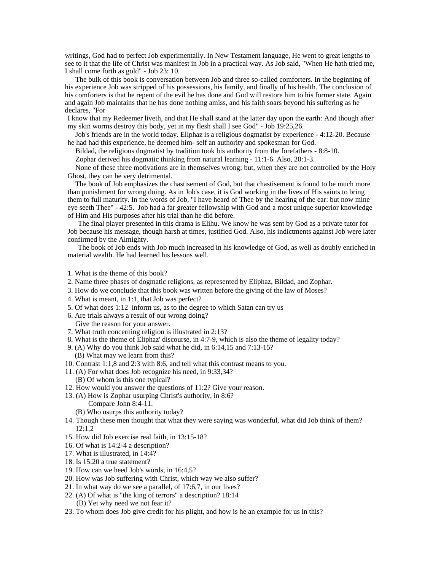writings, God had to perfect Job experimentally. In New Testament language, He went to great lengths to see to it that the life of Christ was manifest in Job in a practical way. As Job said, "When He hath tried me, I shall come forth as gold" - Job 23: 10.

The bulk of this book is conversation between Job and three so-called comforters. In the beginning of his experience Job was stripped of his possessions, his family, and finally of his health. The conclusion of his comforters is that he repent of the evil he has done and God will restore him to his former state. Again and again Job maintains that he has done nothing amiss, and his faith soars beyond his suffering as he declares, "For

I know that my Redeemer liveth, and that He shall stand at the latter day upon the earth: And though after my skin worms destroy this body, yet in my flesh shall I see God" - Job 19:25,26.

Job's friends are in the world today. Ellphaz is a religious dogmatist by experience - 4:12-20. Because he had had this experience, he deemed him- self an authority and spokesman for God.

Bildad, the religious dogmatist by tradition took his authority from the forefathers - 8:8-10.

Zophar derived his dogmatic thinking from natural learning - 11:1-6. Also, 20:1-3.

None of these three motivations are in themselves wrong; but, when they are not controlled by the Holy Ghost, they can be very detrimental.

The book of Job emphasizes the chastisement of God, but that chastisement is found to be much more than punishment for wrong doing. As in Job's case, it is God working in the lives of His saints to bring them to full maturity. In the words of Job, "I have heard of Thee by the hearing of the ear: but now mine eye seeth Thee" - 42:5. Job had a far greater fellowship with God and a most unique superior knowledge of Him and His purposes after his trial than he did before.

The final player presented in this drama is Elihu. We know he was sent by God as a private tutor for Job because his message, though harsh at times, justified God. Also, his indictments against Job were later confirmed by the Almighty.

The book of Job ends with Job much increased in his knowledge of God, as well as doubly enriched in material wealth. He had learned his lessons well.

- 1. What is the theme of this book?
- 2. Name three phases of dogmatic religions, as represented by Eliphaz, Bildad, and Zophar.
- 3. How do we conclude that this book was written before the giving of the law of Moses?
- 4. What is meant, in 1:1, that Job was perfect?
- 5. Of what does 1:12 inform us, as to the degree to which Satan can try us
- 6. Are trials always a result of our wrong doing?
- Give the reason for your answer.
- 7. What truth concerning religion is illustrated in 2:13?
- 8. What is the theme of Eliphaz' discourse, in 4:7-9, which is also the theme of legality today?
- 9. (A) Why do you think Job said what he did, in 6:14,15 and 7:13-15? (B) What may we learn from this?
- 10. Contrast 1:1,8 and 2:3 with 8:6, and tell what this contrast means to you.
- 11. (A) For what does Job recognize his need, in 9:33,34?
	- (B) Of whom is this one typical?
- 12. How would you answer the questions of 11:2? Give your reason.
- 13. (A) How is Zophar usurping Christ's authority, in 8:6?
	- Compare John 8:4-11.
	- (B) Who usurps this authority today?
- 14. Though these men thought that what they were saying was wonderful, what did Job think of them?  $12:1,2$
- 15. How did Job exercise real faith, in 13:15-18?
- 16. Of what is 14:2-4 a description?
- 17. What is illustrated, in 14:4?
- 18. Is 15:20 a true statement?
- 19. How can we heed Job's words, in 16:4,5?
- 20. How was Job suffering with Christ, which way we also suffer?
- 21. In what way do we see a parallel, of 17:6,7, in our lives?
- 22. (A) Of what is "the king of terrors" a description? 18:14
- (B) Yet why need we not fear it?
- 23. To whom does Job give credit for his plight, and how is he an example for us in this?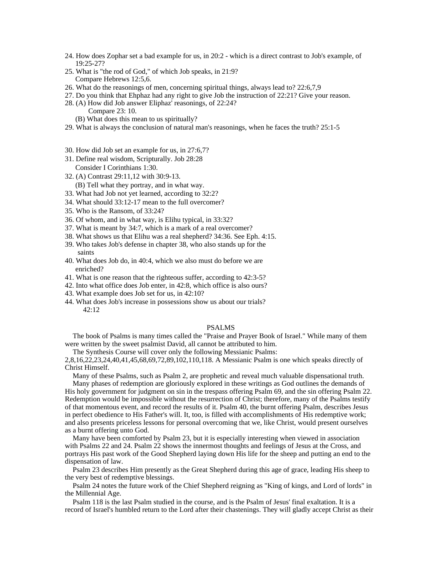- 24. How does Zophar set a bad example for us, in 20:2 which is a direct contrast to Job's example, of 19:25-27?
- 25. What is "the rod of God," of which Job speaks, in 21:9? Compare Hebrews 12:5,6.
- 26. What do the reasonings of men, concerning spiritual things, always lead to? 22:6,7,9
- 27. Do you think that Ehphaz had any right to give Job the instruction of 22:21? Give your reason.
- 28. (A) How did Job answer Eliphaz' reasonings, of 22:24?
	- Compare 23: 10. (B) What does this mean to us spiritually?
- 29. What is always the conclusion of natural man's reasonings, when he faces the truth? 25:1-5
- 30. How did Job set an example for us, in 27:6,7?
- 31. Define real wisdom, Scripturally. Job 28:28 Consider I Corinthians 1:30.
- 32. (A) Contrast 29:11,12 with 30:9-13.
- (B) Tell what they portray, and in what way.
- 33. What had Job not yet learned, according to 32:2?
- 34. What should 33:12-17 mean to the full overcomer?
- 35. Who is the Ransom, of 33:24?
- 36. Of whom, and in what way, is Elihu typical, in 33:32?
- 37. What is meant by 34:7, which is a mark of a real overcomer?
- 38. What shows us that Elihu was a real shepherd? 34:36. See Eph. 4:15.
- 39. Who takes Job's defense in chapter 38, who also stands up for the saints and the same state of the same state of the same state of the same state of the same state of the same state of the same state of the same state of the same state of the same state of the same state of the same stat
- 40. What does Job do, in 40:4, which we also must do before we are enriched?
- 41. What is one reason that the righteous suffer, according to 42:3-5?
- 42. Into what office does Job enter, in 42:8, which office is also ours?
- 43. What example does Job set for us, in 42:10?
- 44. What does Job's increase in possessions show us about our trials? 42:12

### PSALMS

The book of Psalms is many times called the "Praise and Prayer Book of Israel." While many of them were written by the sweet psalmist David, all cannot be attributed to him.

The Synthesis Course will cover only the following Messianic Psalms:

2,8,16,22,23,24,40,41,45,68,69,72,89,102,110,118. A Messianic Psalm is one which speaks directly of Christ Himself.

Many of these Psalms, such as Psalm 2, are prophetic and reveal much valuable dispensational truth.

Many phases of redemption are gloriously explored in these writings as God outlines the demands of His holy government for judgment on sin in the trespass offering Psalm 69, and the sin offering Psalm 22. Redemption would be impossible without the resurrection of Christ; therefore, many of the Psalms testify of that momentous event, and record the results of it. Psalm 40, the burnt offering Psalm, describes Jesus in perfect obedience to His Father's will. It, too, is filled with accomplishments of His redemptive work; and also presents priceless lessons for personal overcoming that we, like Christ, would present ourselves as a burnt offering unto God.

Many have been comforted by Psalm 23, but it is especially interesting when viewed in association with Psalms 22 and 24. Psalm 22 shows the innermost thoughts and feelings of Jesus at the Cross, and portrays His past work of the Good Shepherd laying down His life for the sheep and putting an end to the dispensation of law.

Psalm 23 describes Him presently as the Great Shepherd during this age of grace, leading His sheep to the very best of redemptive blessings.

Psalm 24 notes the future work of the Chief Shepherd reigning as "King of kings, and Lord of lords" in the Millennial Age.

Psalm 118 is the last Psalm studied in the course, and is the Psalm of Jesus' final exaltation. It is a record of Israel's humbled return to the Lord after their chastenings. They will gladly accept Christ as their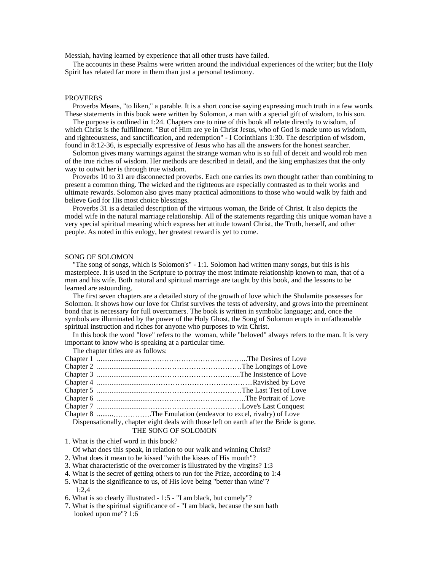Messiah, having learned by experience that all other trusts have failed.

The accounts in these Psalms were written around the individual experiences of the writer; but the Holy Spirit has related far more in them than just a personal testimony.

### PROVERBS **Example 2008 CONSTRUCTER SERVICE AND RESIDENCE AND RESIDENCE AND RESIDENCE AND RESIDENCE AND RESIDENCE AND RESIDENCE AND RESIDENCE AND RESIDENCE AND RESIDENCE AND RESIDENCE AND RESIDENCE AND RESIDENCE AND RESID**

Proverbs Means, "to liken," a parable. It is a short concise saying expressing much truth in a few words. These statements in this book were written by Solomon, a man with a special gift of wisdom, to his son.

The purpose is outlined in 1:24. Chapters one to nine of this book all relate directly to wisdom, of which Christ is the fulfillment. "But of Him are ye in Christ Jesus, who of God is made unto us wisdom, and righteousness, and sanctification, and redemption" - I Corinthians 1:30. The description of wisdom, found in 8:12-36, is especially expressive of Jesus who has all the answers for the honest searcher.

Solomon gives many warnings against the strange woman who is so full of deceit and would rob men of the true riches of wisdom. Her methods are described in detail, and the king emphasizes that the only way to outwit her is through true wisdom.

Proverbs 10 to 31 are disconnected proverbs. Each one carries its own thought rather than combining to present a common thing. The wicked and the righteous are especially contrasted as to their works and ultimate rewards. Solomon also gives many practical admonitions to those who would walk by faith and believe God for His most choice blessings.

Proverbs 31 is a detailed description of the virtuous woman, the Bride of Christ. It also depicts the model wife in the natural marriage relationship. All of the statements regarding this unique woman have a very special spiritual meaning which express her attitude toward Christ, the Truth, herself, and other people. As noted in this eulogy, her greatest reward is yet to come.

### SONG OF SOLOMON

"The song of songs, which is Solomon's" - 1:1. Solomon had written many songs, but this is his masterpiece. It is used in the Scripture to portray the most intimate relationship known to man, that of a man and his wife. Both natural and spiritual marriage are taught by this book, and the lessons to be learned are astounding.

The first seven chapters are a detailed story of the growth of love which the Shulamite possesses for Solomon. It shows how our love for Christ survives the tests of adversity, and grows into the preeminent bond that is necessary for full overcomers. The book is written in symbolic language; and, once the symbols are illuminated by the power of the Holy Ghost, the Song of Solomon erupts in unfathomable spiritual instruction and riches for anyone who purposes to win Christ.

In this book the word "love" refers to the woman, while "beloved" always refers to the man. It is very important to know who is speaking at a particular time.

The chapter titles are as follows:

| Chapter 1            | The Desires of Love                                                                     |
|----------------------|-----------------------------------------------------------------------------------------|
| Chapter 2            | The Longings of Love                                                                    |
| Chapter 1            | The Insistence of Love                                                                  |
| Chapter 4            | Ravished by Love                                                                        |
| Chapter.             | The Last Test of Love                                                                   |
| Chapter 6            | The Portrait of Love                                                                    |
| Chapter <sup>'</sup> | Love's Last Conquest                                                                    |
| Chapter 8            | The Emulation (endeavor to excel, rivalry) of Love                                      |
|                      | Dispensationally, chapter eight deals with those left on earth after the Bride is gone. |
|                      | THE SONG OF SOLOMON                                                                     |

1. What is the chief word in this book?

Of what does this speak, in relation to our walk and winning Christ?

2. What does it mean to be kissed "with the kisses of His mouth"?

3. What characteristic of the overcomer is illustrated by the virgins? 1:3

4. What is the secret of getting others to run for the Prize, according to 1:4

- 5. What is the significance to us, of His love being "better than wine"? 1:2,4
- 6. What is so clearly illustrated 1:5 "I am black, but comely"?
- 7. What is the spiritual significance of "I am black, because the sun hath looked upon me"? 1:6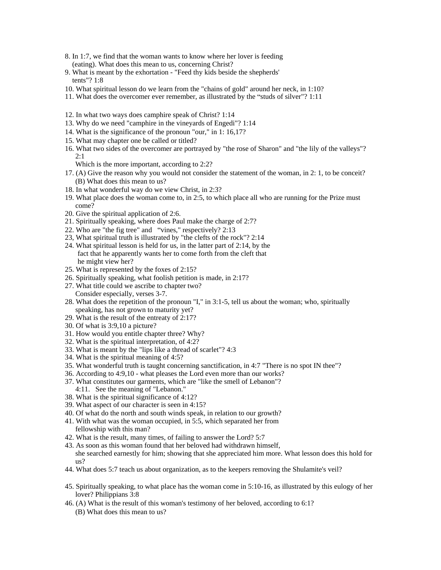- 8. In 1:7, we find that the woman wants to know where her lover is feeding (eating). What does this mean to us, concerning Christ?
- 9. What is meant by the exhortation "Feed thy kids beside the shepherds' tents"? 1:8
- 10. What spiritual lesson do we learn from the "chains of gold" around her neck, in 1:10?
- 11. What does the overcomer ever remember, as illustrated by the "studs of silver"? 1:11
- 12. In what two ways does camphire speak of Christ? 1:14
- 13. Why do we need "camphire in the vineyards of Engedi"? 1:14
- 14. What is the significance of the pronoun "our," in 1: 16,17?
- 15. What may chapter one be called or titled?
- 16. What two sides of the overcomer are portrayed by "the rose of Sharon" and "the lily of the valleys"? 2:1
	- Which is the more important, according to 2:2?
- 17. (A) Give the reason why you would not consider the statement of the woman, in 2: 1, to be conceit? (B) What does this mean to us?
- 18. In what wonderful way do we view Christ, in 2:3?
- 19. What place does the woman come to, in 2:5, to which place all who are running for the Prize must come?
- 20. Give the spiritual application of 2:6.
- 21. Spiritually speaking, where does Paul make the charge of 2:7?
- 22. Who are "the fig tree" and "vines," respectively?  $2:13$
- 23, What spiritual truth is illustrated by "the clefts of the rock"? 2:14
- 24. What spiritual lesson is held for us, in the latter part of 2:14, by the fact that he apparently wants her to come forth from the cleft that he might view her?
- 25. What is represented by the foxes of 2:15?
- 26. Spiritually speaking, what foolish petition is made, in 2:17?
- 27. What title could we ascribe to chapter two? Consider especially, verses 3-7.
- 28. What does the repetition of the pronoun "I," in 3:1-5, tell us about the woman; who, spiritually speaking, has not grown to maturity yet?
- 29. What is the result of the entreaty of 2:17?
- 30. Of what is 3:9,10 a picture?
- 31. How would you entitle chapter three? Why?
- 32. What is the spiritual interpretation, of 4:2?
- 33. What is meant by the "lips like a thread of scarlet"? 4:3
- 34. What is the spiritual meaning of 4:5?
- 35. What wonderful truth is taught concerning sanctification, in 4:7 "There is no spot IN thee"?
- 36. According to 4:9,10 what pleases the Lord even more than our works?
- 37. What constitutes our garments, which are "like the smell of Lebanon"? 4:11. See the meaning of "Lebanon."
- 38. What is the spiritual significance of 4:12?
- 39. What aspect of our character is seen in 4:15?
- 40. Of what do the north and south winds speak, in relation to our growth?
- 41. With what was the woman occupied, in 5:5, which separated her from fellowship with this man?
- 42. What is the result, many times, of failing to answer the Lord? 5:7
- 43. As soon as this woman found that her beloved had withdrawn himself, she searched earnestly for him; showing that she appreciated him more. What lesson does this hold for us?
- 44. What does 5:7 teach us about organization, as to the keepers removing the Shulamite's veil?
- 45. Spiritually speaking, to what place has the woman come in 5:10-16, as illustrated by this eulogy of her lover? Philippians 3:8
- 46. (A) What is the result of this woman's testimony of her beloved, according to 6:1? (B) What does this mean to us?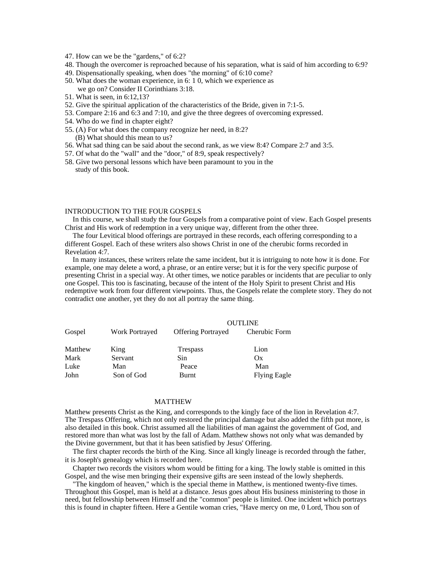- 47. How can we be the "gardens," of 6:2?
- 48. Though the overcomer is reproached because of his separation, what is said of him according to 6:9?
- 49. Dispensationally speaking, when does "the morning" of 6:10 come?
- 50. What does the woman experience, in 6: 1 0, which we experience as we go on? Consider II Corinthians 3:18.
- 51. What is seen, in 6:12,13?
- 52. Give the spiritual application of the characteristics of the Bride, given in 7:1-5.
- 53. Compare 2:16 and 6:3 and 7:10, and give the three degrees of overcoming expressed.
- 54. Who do we find in chapter eight?
- 55. (A) For what does the company recognize her need, in 8:2? (B) What should this mean to us?
- 56. What sad thing can be said about the second rank, as we view 8:4? Compare 2:7 and 3:5.
- 57. Of what do the "wall" and the "door," of 8:9, speak respectively?
- 58. Give two personal lessons which have been paramount to you in the study of this book.

## INTRODUCTION TO THE FOUR GOSPELS

In this course, we shall study the four Gospels from a comparative point of view. Each Gospel presents Christ and His work of redemption in a very unique way, different from the other three.

The four Levitical blood offerings are portrayed in these records, each offering corresponding to a different Gospel. Each of these writers also shows Christ in one of the cherubic forms recorded in Revelation 4:7.

In many instances, these writers relate the same incident, but it is intriguing to note how it is done. For example, one may delete a word, a phrase, or an entire verse; but it is for the very specific purpose of presenting Christ in a special way. At other times, we notice parables or incidents that are peculiar to only one Gospel. This too is fascinating, because of the intent of the Holy Spirit to present Christ and His redemptive work from four different viewpoints. Thus, the Gospels relate the complete story. They do not contradict one another, yet they do not all portray the same thing.

|              |            |                                   | OUTLINE             |
|--------------|------------|-----------------------------------|---------------------|
| Gospel       |            | Work Portrayed Offering Portrayed | Cherubic Form       |
| Matthew King |            | Trespass                          | L10n                |
| Mark         | Servant    | Sin                               | VX.                 |
| Luke         | Man        | reace                             | Man                 |
| John         | Son of God | Burnt                             | <b>Flying Eagle</b> |

### MATTHEW

Matthew presents Christ as the King, and corresponds to the kingly face of the lion in Revelation 4:7. The Trespass Offering, which not only restored the principal damage but also added the fifth put more, is also detailed in this book. Christ assumed all the liabilities of man against the government of God, and restored more than what was lost by the fall of Adam. Matthew shows not only what was demanded by the Divine government, but that it has been satisfied by Jesus' Offering.

The first chapter records the birth of the King. Since all kingly lineage is recorded through the father, it is Joseph's genealogy which is recorded here.

Chapter two records the visitors whom would be fitting for a king. The lowly stable is omitted in this Gospel, and the wise men bringing their expensive gifts are seen instead of the lowly shepherds.

"The kingdom of heaven," which is the special theme in Matthew, is mentioned twenty-five times. Throughout this Gospel, man is held at a distance. Jesus goes about His business ministering to those in need, but fellowship between Himself and the "common" people is limited. One incident which portrays this is found in chapter fifteen. Here a Gentile woman cries, "Have mercy on me, 0 Lord, Thou son of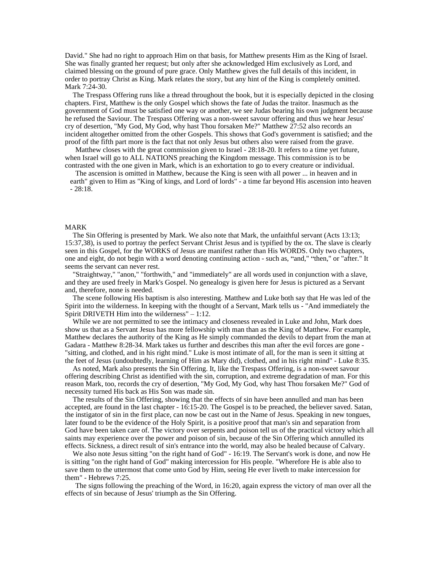David." She had no right to approach Him on that basis, for Matthew presents Him as the King of Israel. She was finally granted her request; but only after she acknowledged Him exclusively as Lord, and claimed blessing on the ground of pure grace. Only Matthew gives the full details of this incident, in order to portray Christ as King. Mark relates the story, but any hint of the King is completely omitted. Mark 7:24-30.

The Trespass Offering runs like a thread throughout the book, but it is especially depicted in the closing chapters. First, Matthew is the only Gospel which shows the fate of Judas the traitor. Inasmuch as the government of God must be satisfied one way or another, we see Judas bearing his own judgment because he refused the Saviour. The Trespass Offering was a non-sweet savour offering and thus we hear Jesus' cry of desertion, "My God, My God, why hast Thou forsaken Me?" Matthew 27:52 also records an incident altogether omitted from the other Gospels. This shows that God's government is satisfied; and the proof of the fifth part more is the fact that not only Jesus but others also were raised from the grave.

Matthew closes with the great commission given to Israel - 28:18-20. It refers to a time yet future, when Israel will go to ALL NATIONS preaching the Kingdom message. This commission is to be contrasted with the one given in Mark, which is an exhortation to go to every creature or individual.

The ascension is omitted in Matthew, because the King is seen with all power ... in heaven and in earth" given to Him as "King of kings, and Lord of lords" - a time far beyond His ascension into heaven - 28:18.

### MARK

The Sin Offering is presented by Mark. We also note that Mark, the unfaithful servant (Acts 13:13; 15:37,38), is used to portray the perfect Servant Christ Jesus and is typified by the ox. The slave is clearly seen in this Gospel, for the WORKS of Jesus are manifest rather than His WORDS. Only two chapters, one and eight, do not begin with a word denoting continuing action - such as, "and," "then," or "after." It seems the servant can never rest.

"Straightway," "anon," "forthwith," and "immediately" are all words used in conjunction with a slave, and they are used freely in Mark's Gospel. No genealogy is given here for Jesus is pictured as a Servant and, therefore, none is needed.

The scene following His baptism is also interesting. Matthew and Luke both say that He was led of the Spirit into the wilderness. In keeping with the thought of a Servant, Mark tells us - "And immediately the Spirit DRIVETH Him into the wilderness"  $-1:12$ .

While we are not permitted to see the intimacy and closeness revealed in Luke and John, Mark does show us that as a Servant Jesus has more fellowship with man than as the King of Matthew. For example, Matthew declares the authority of the King as He simply commanded the devils to depart from the man at Gadara - Matthew 8:28-34. Mark takes us further and describes this man after the evil forces are gone - "sitting, and clothed, and in his right mind." Luke is most intimate of all, for the man is seen it sitting at the feet of Jesus (undoubtedly, learning of Him as Mary did), clothed, and in his right mind" - Luke 8:35.

As noted, Mark also presents the Sin Offering. It, like the Trespass Offering, is a non-sweet savour offering describing Christ as identified with the sin, corruption, and extreme degradation of man. For this reason Mark, too, records the cry of desertion, "My God, My God, why hast Thou forsaken Me?" God of necessity turned His back as His Son was made sin.

The results of the Sin Offering, showing that the effects of sin have been annulled and man has been accepted, are found in the last chapter - 16:15-20. The Gospel is to be preached, the believer saved. Satan, the instigator of sin in the first place, can now be cast out in the Name of Jesus. Speaking in new tongues, later found to be the evidence of the Holy Spirit, is a positive proof that man's sin and separation from God have been taken care of. The victory over serpents and poison tell us of the practical victory which all saints may experience over the power and poison of sin, because of the Sin Offering which annulled its effects. Sickness, a direct result of sin's entrance into the world, may also be healed because of Calvary.

We also note Jesus sitting "on the right hand of God" - 16:19. The Servant's work is done, and now He is sitting "on the right hand of God" making intercession for His people. "Wherefore He is able also to save them to the uttermost that come unto God by Him, seeing He ever liveth to make intercession for them" - Hebrews 7:25.

The signs following the preaching of the Word, in 16:20, again express the victory of man over all the effects of sin because of Jesus' triumph as the Sin Offering.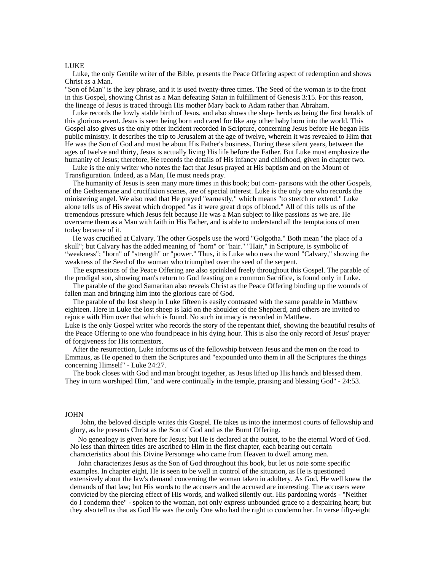### LUKE

Luke, the only Gentile writer of the Bible, presents the Peace Offering aspect of redemption and shows Christ as a Man.

"Son of Man" is the key phrase, and it is used twenty-three times. The Seed of the woman is to the front in this Gospel, showing Christ as a Man defeating Satan in fulfillment of Genesis 3:15. For this reason, the lineage of Jesus is traced through His mother Mary back to Adam rather than Abraham.

Luke records the lowly stable birth of Jesus, and also shows the shep- herds as being the first heralds of this glorious event. Jesus is seen being born and cared for like any other baby born into the world. This Gospel also gives us the only other incident recorded in Scripture, concerning Jesus before He began His public ministry. It describes the trip to Jerusalem at the age of twelve, wherein it was revealed to Him that He was the Son of God and must be about His Father's business. During these silent years, between the ages of twelve and thirty, Jesus is actually living His life before the Father. But Luke must emphasize the humanity of Jesus; therefore, He records the details of His infancy and childhood, given in chapter two.

Luke is the only writer who notes the fact that Jesus prayed at His baptism and on the Mount of Transfiguration. Indeed, as a Man, He must needs pray.

The humanity of Jesus is seen many more times in this book; but com- parisons with the other Gospels, of the Gethsemane and crucifixion scenes, are of special interest. Luke is the only one who records the ministering angel. We also read that He prayed "earnestly," which means "to stretch or extend." Luke alone tells us of His sweat which dropped "as it were great drops of blood." All of this tells us of the tremendous pressure which Jesus felt because He was a Man subject to like passions as we are. He overcame them as a Man with faith in His Father, and is able to understand all the temptations of men today because of it.

He was crucified at Calvary. The other Gospels use the word "Golgotha." Both mean "the place of a skull"; but Calvary has the added meaning of "horn" or "hair." "Hair," in Scripture, is symbolic of weakness"; "horn" of "strength" or "power." Thus, it is Luke who uses the word "Calvary," showing the weakness of the Seed of the woman who triumphed over the seed of the serpent.

The expressions of the Peace Offering are also sprinkled freely throughout this Gospel. The parable of the prodigal son, showing man's return to God feasting on a common Sacrifice, is found only in Luke.

The parable of the good Samaritan also reveals Christ as the Peace Offering binding up the wounds of fallen man and bringing him into the glorious care of God.

The parable of the lost sheep in Luke fifteen is easily contrasted with the same parable in Matthew eighteen. Here in Luke the lost sheep is laid on the shoulder of the Shepherd, and others are invited to rejoice with Him over that which is found. No such intimacy is recorded in Matthew.

Luke is the only Gospel writer who records the story of the repentant thief, showing the beautiful results of the Peace Offering to one who found peace in his dying hour. This is also the only record of Jesus' prayer of forgiveness for His tormentors.

After the resurrection, Luke informs us of the fellowship between Jesus and the men on the road to Emmaus, as He opened to them the Scriptures and "expounded unto them in all the Scriptures the things concerning Himself" - Luke 24:27.

The book closes with God and man brought together, as Jesus lifted up His hands and blessed them. They in turn worshiped Him, "and were continually in the temple, praising and blessing God" - 24:53.

### JOHN

John, the beloved disciple writes this Gospel. He takes us into the innermost courts of fellowship and glory, as he presents Christ as the Son of God and as the Burnt Offering.

No genealogy is given here for Jesus; but He is declared at the outset, to be the eternal Word of God. No less than thirteen titles are ascribed to Him in the first chapter, each bearing out certain characteristics about this Divine Personage who came from Heaven to dwell among men.

John characterizes Jesus as the Son of God throughout this book, but let us note some specific examples. In chapter eight, He is seen to be well in control of the situation, as He is questioned extensively about the law's demand concerning the woman taken in adultery. As God, He well knew the demands of that law; but His words to the accusers and the accused are interesting. The accusers were convicted by the piercing effect of His words, and walked silently out. His pardoning words - "Neither do I condemn thee" - spoken to the woman, not only express unbounded grace to a despairing heart; but they also tell us that as God He was the only One who had the right to condemn her. In verse fifty-eight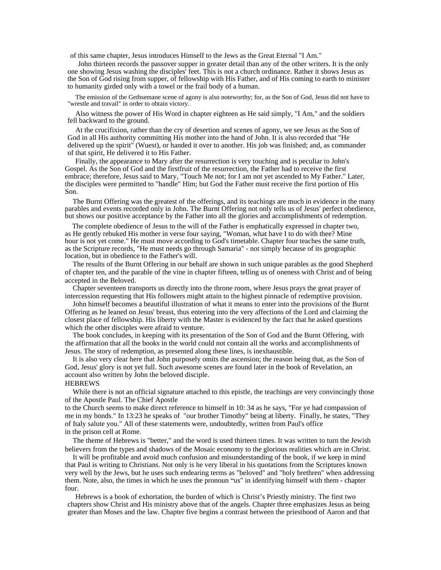of this same chapter, Jesus introduces Himself to the Jews as the Great Eternal "I Am."

John thirteen records the passover supper in greater detail than any of the other writers. It is the only one showing Jesus washing the disciples' feet. This is not a church ordinance. Rather it shows Jesus as the Son of God rising from supper, of fellowship with His Father, and of His coming to earth to minister to humanity girded only with a towel or the frail body of a human.

The emission of the Gethsemane scene of agony is also noteworthy; for, as the Son of God, Jesus did not have to "wrestle and travail" in order to obtain victory.

Also witness the power of His Word in chapter eighteen as He said simply, "I Am," and the soldiers fell backward to the ground.

At the crucifixion, rather than the cry of desertion and scenes of agony, we see Jesus as the Son of God in all His authority committing His mother into the hand of John. It is also recorded that "He delivered up the spirit" (Wuest), or handed it over to another. His job was finished; and, as commander of that spirit, He delivered it to His Father.

Finally, the appearance to Mary after the resurrection is very touching and is peculiar to John's Gospel. As the Son of God and the firstfruit of the resurrection, the Father had to receive the first embrace; therefore, Jesus said to Mary, "Touch Me not; for I am not yet ascended to My Father." Later, the disciples were permitted to "handle" Him; but God the Father must receive the first portion of His Son.

The Burnt Offering was the greatest of the offerings, and its teachings are much in evidence in the many parables and events recorded only in John. The Burnt Offering not only tells us of Jesus' perfect obedience, but shows our positive acceptance by the Father into all the glories and accomplishments of redemption.

 The complete obedience of Jesus to the will of the Father is emphatically expressed in chapter two, as He gently rebuked His mother in verse four saying, "Woman, what have I to do with thee? Mine hour is not yet come." He must move according to God's timetable. Chapter four teaches the same truth, as the Scripture records, "He must needs go through Samaria" - not simply because of its geographic location, but in obedience to the Father's will.

The results of the Burnt Offering in our behalf are shown in such unique parables as the good Shepherd of chapter ten, and the parable of the vine in chapter fifteen, telling us of oneness with Christ and of being accepted in the Beloved.

Chapter seventeen transports us directly into the throne room, where Jesus prays the great prayer of intercession requesting that His followers might attain to the highest pinnacle of redemptive provision.

John himself becomes a beautiful illustration of what it means to enter into the provisions of the Burnt Offering as he leaned on Jesus' breast, thus entering into the very affections of the Lord and claiming the closest place of fellowship. His liberty with the Master is evidenced by the fact that he asked questions which the other disciples were afraid to venture.

The book concludes, in keeping with its presentation of the Son of God and the Burnt Offering, with the affirmation that all the books in the world could not contain all the works and accomplishments of Jesus. The story of redemption, as presented along these lines, is inexhaustible.

It is also very clear here that John purposely omits the ascension; the reason being that, as the Son of God, Jesus' glory is not yet full. Such awesome scenes are found later in the book of Revelation, an account also written by John the beloved disciple.

### HEBREWS

While there is not an official signature attached to this epistle, the teachings are very convincingly those of the Apostle Paul. The Chief Apostle

to the Church seems to make direct reference to himself in 10: 34 as he says, "For ye had compassion of me in my bonds." In 13:23 he speaks of "our brother Timothy" being at liberty. Finally, he states, "They of Italy salute you." All of these statements were, undoubtedly, written from Paul's office in the prison cell at Rome.

The theme of Hebrews is "better," and the word is used thirteen times. It was written to turn the Jewish believers from the types and shadows of the Mosaic economy to the glorious realities which are in Christ.

It will be profitable and avoid much confusion and misunderstanding of the book, if we keep in mind that Paul is writing to Christians. Not only is he very liberal in his quotations from the Scriptures known very well by the Jews, but he uses such endearing terms as "beloved" and "holy brethren" when addressing them. Note, also, the times in which he uses the pronoun "us" in identifying himself with them - chapter four.

Hebrews is a book of exhortation, the burden of which is Christ's Priestly ministry. The first two chapters show Christ and His ministry above that of the angels. Chapter three emphasizes Jesus as being greater than Moses and the law. Chapter five begins a contrast between the priesthood of Aaron and that